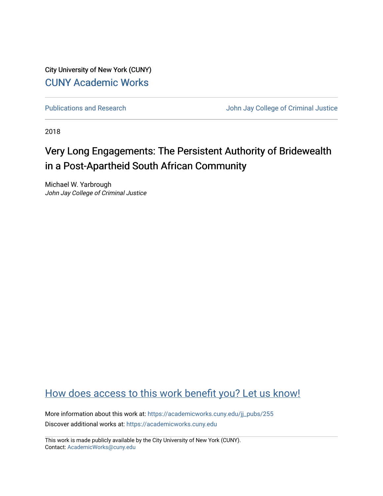City University of New York (CUNY) [CUNY Academic Works](https://academicworks.cuny.edu/) 

[Publications and Research](https://academicworks.cuny.edu/jj_pubs) **Value 2018** John Jay College of Criminal Justice

2018

# Very Long Engagements: The Persistent Authority of Bridewealth in a Post-Apartheid South African Community

Michael W. Yarbrough John Jay College of Criminal Justice

## [How does access to this work benefit you? Let us know!](http://ols.cuny.edu/academicworks/?ref=https://academicworks.cuny.edu/jj_pubs/255)

More information about this work at: [https://academicworks.cuny.edu/jj\\_pubs/255](https://academicworks.cuny.edu/jj_pubs/255) Discover additional works at: [https://academicworks.cuny.edu](https://academicworks.cuny.edu/?)

This work is made publicly available by the City University of New York (CUNY). Contact: [AcademicWorks@cuny.edu](mailto:AcademicWorks@cuny.edu)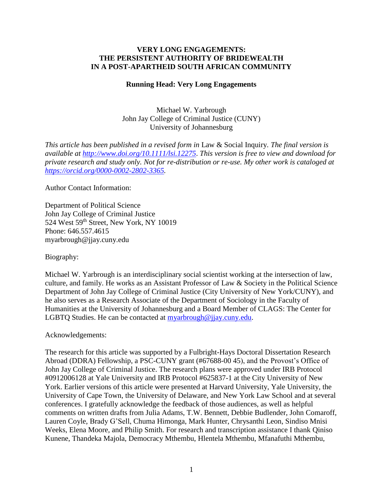### **VERY LONG ENGAGEMENTS: THE PERSISTENT AUTHORITY OF BRIDEWEALTH IN A POST-APARTHEID SOUTH AFRICAN COMMUNITY**

### **Running Head: Very Long Engagements**

Michael W. Yarbrough John Jay College of Criminal Justice (CUNY) University of Johannesburg

*This article has been published in a revised form in* Law & Social Inquiry*. The final version is available at<http://www.doi.org/10.1111/lsi.12275>*. *This version is free to view and download for private research and study only. Not for re-distribution or re-use. My other work is cataloged at [https://orcid.org/0000-0002-2802-3365.](https://orcid.org/0000-0002-2802-3365)*

Author Contact Information:

Department of Political Science John Jay College of Criminal Justice 524 West 59<sup>th</sup> Street, New York, NY 10019 Phone: 646.557.4615 myarbrough@jjay.cuny.edu

Biography:

Michael W. Yarbrough is an interdisciplinary social scientist working at the intersection of law, culture, and family. He works as an Assistant Professor of Law & Society in the Political Science Department of John Jay College of Criminal Justice (City University of New York/CUNY), and he also serves as a Research Associate of the Department of Sociology in the Faculty of Humanities at the University of Johannesburg and a Board Member of CLAGS: The Center for LGBTO Studies. He can be contacted at [myarbrough@jjay.cuny.edu.](mailto:myarbrough@jjay.cuny.edu)

Acknowledgements:

The research for this article was supported by a Fulbright-Hays Doctoral Dissertation Research Abroad (DDRA) Fellowship, a PSC-CUNY grant (#67688-00 45), and the Provost's Office of John Jay College of Criminal Justice. The research plans were approved under IRB Protocol #0912006128 at Yale University and IRB Protocol #625837-1 at the City University of New York. Earlier versions of this article were presented at Harvard University, Yale University, the University of Cape Town, the University of Delaware, and New York Law School and at several conferences. I gratefully acknowledge the feedback of those audiences, as well as helpful comments on written drafts from Julia Adams, T.W. Bennett, Debbie Budlender, John Comaroff, Lauren Coyle, Brady G'Sell, Chuma Himonga, Mark Hunter, Chrysanthi Leon, Sindiso Mnisi Weeks, Elena Moore, and Philip Smith. For research and transcription assistance I thank Qiniso Kunene, Thandeka Majola, Democracy Mthembu, Hlentela Mthembu, Mfanafuthi Mthembu,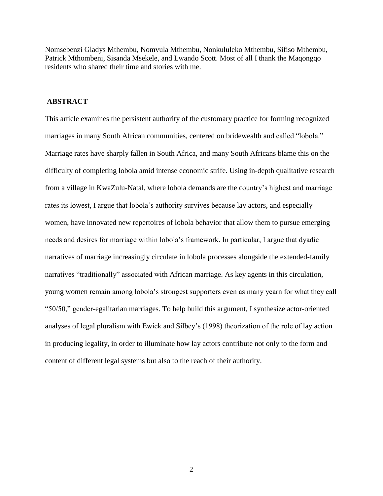Nomsebenzi Gladys Mthembu, Nomvula Mthembu, Nonkululeko Mthembu, Sifiso Mthembu, Patrick Mthombeni, Sisanda Msekele, and Lwando Scott. Most of all I thank the Maqongqo residents who shared their time and stories with me.

#### **ABSTRACT**

This article examines the persistent authority of the customary practice for forming recognized marriages in many South African communities, centered on bridewealth and called "lobola." Marriage rates have sharply fallen in South Africa, and many South Africans blame this on the difficulty of completing lobola amid intense economic strife. Using in-depth qualitative research from a village in KwaZulu-Natal, where lobola demands are the country's highest and marriage rates its lowest, I argue that lobola's authority survives because lay actors, and especially women, have innovated new repertoires of lobola behavior that allow them to pursue emerging needs and desires for marriage within lobola's framework. In particular, I argue that dyadic narratives of marriage increasingly circulate in lobola processes alongside the extended-family narratives "traditionally" associated with African marriage. As key agents in this circulation, young women remain among lobola's strongest supporters even as many yearn for what they call "50/50," gender-egalitarian marriages. To help build this argument, I synthesize actor-oriented analyses of legal pluralism with Ewick and Silbey's (1998) theorization of the role of lay action in producing legality, in order to illuminate how lay actors contribute not only to the form and content of different legal systems but also to the reach of their authority.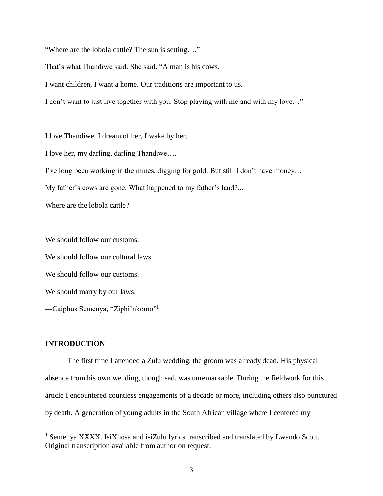"Where are the lobola cattle? The sun is setting…."

That's what Thandiwe said. She said, "A man is his cows.

I want children, I want a home. Our traditions are important to us.

I don't want to just live together with you. Stop playing with me and with my love…"

I love Thandiwe. I dream of her, I wake by her.

I love her, my darling, darling Thandiwe….

I've long been working in the mines, digging for gold. But still I don't have money…

My father's cows are gone. What happened to my father's land?...

Where are the lobola cattle?

We should follow our customs.

We should follow our cultural laws.

We should follow our customs.

We should marry by our laws.

—Caiphus Semenya, "Ziphi'nkomo"<sup>1</sup>

#### **INTRODUCTION**

 $\overline{a}$ 

The first time I attended a Zulu wedding, the groom was already dead. His physical absence from his own wedding, though sad, was unremarkable. During the fieldwork for this article I encountered countless engagements of a decade or more, including others also punctured by death. A generation of young adults in the South African village where I centered my

<sup>&</sup>lt;sup>1</sup> Semenya XXXX. IsiXhosa and isiZulu lyrics transcribed and translated by Lwando Scott. Original transcription available from author on request.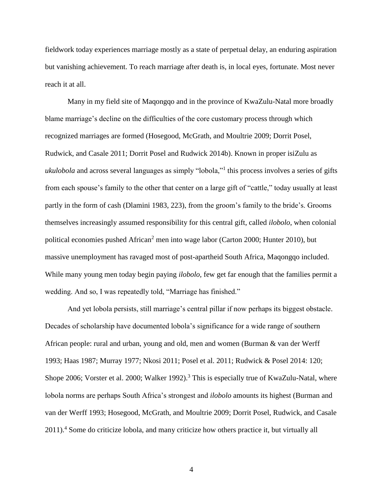fieldwork today experiences marriage mostly as a state of perpetual delay, an enduring aspiration but vanishing achievement. To reach marriage after death is, in local eyes, fortunate. Most never reach it at all.

Many in my field site of Maqongqo and in the province of KwaZulu-Natal more broadly blame marriage's decline on the difficulties of the core customary process through which recognized marriages are formed (Hosegood, McGrath, and Moultrie 2009; Dorrit Posel, Rudwick, and Casale 2011; Dorrit Posel and Rudwick 2014b). Known in proper isiZulu as *ukulobola* and across several languages as simply "lobola,"<sup>1</sup> this process involves a series of gifts from each spouse's family to the other that center on a large gift of "cattle," today usually at least partly in the form of cash (Dlamini 1983, 223), from the groom's family to the bride's. Grooms themselves increasingly assumed responsibility for this central gift, called *ilobolo*, when colonial political economies pushed African<sup>2</sup> men into wage labor (Carton 2000; Hunter 2010), but massive unemployment has ravaged most of post-apartheid South Africa, Maqongqo included. While many young men today begin paying *ilobolo,* few get far enough that the families permit a wedding. And so, I was repeatedly told, "Marriage has finished."

And yet lobola persists, still marriage's central pillar if now perhaps its biggest obstacle. Decades of scholarship have documented lobola's significance for a wide range of southern African people: rural and urban, young and old, men and women (Burman & van der Werff 1993; Haas 1987; Murray 1977; Nkosi 2011; Posel et al. 2011; Rudwick & Posel 2014: 120; Shope 2006; Vorster et al. 2000; Walker 1992).<sup>3</sup> This is especially true of KwaZulu-Natal, where lobola norms are perhaps South Africa's strongest and *ilobolo* amounts its highest (Burman and van der Werff 1993; Hosegood, McGrath, and Moultrie 2009; Dorrit Posel, Rudwick, and Casale 2011).<sup>4</sup> Some do criticize lobola, and many criticize how others practice it, but virtually all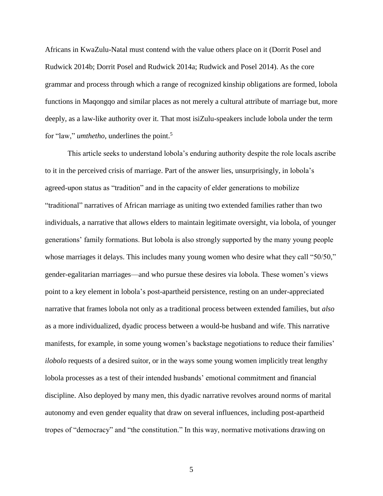Africans in KwaZulu-Natal must contend with the value others place on it (Dorrit Posel and Rudwick 2014b; Dorrit Posel and Rudwick 2014a; Rudwick and Posel 2014). As the core grammar and process through which a range of recognized kinship obligations are formed, lobola functions in Maqongqo and similar places as not merely a cultural attribute of marriage but, more deeply, as a law-like authority over it. That most isiZulu-speakers include lobola under the term for "law," *umthetho*, underlines the point.<sup>5</sup>

This article seeks to understand lobola's enduring authority despite the role locals ascribe to it in the perceived crisis of marriage. Part of the answer lies, unsurprisingly, in lobola's agreed-upon status as "tradition" and in the capacity of elder generations to mobilize "traditional" narratives of African marriage as uniting two extended families rather than two individuals, a narrative that allows elders to maintain legitimate oversight, via lobola, of younger generations' family formations. But lobola is also strongly supported by the many young people whose marriages it delays. This includes many young women who desire what they call "50/50," gender-egalitarian marriages—and who pursue these desires via lobola. These women's views point to a key element in lobola's post-apartheid persistence, resting on an under-appreciated narrative that frames lobola not only as a traditional process between extended families, but *also* as a more individualized, dyadic process between a would-be husband and wife. This narrative manifests, for example, in some young women's backstage negotiations to reduce their families' *ilobolo* requests of a desired suitor, or in the ways some young women implicitly treat lengthy lobola processes as a test of their intended husbands' emotional commitment and financial discipline. Also deployed by many men, this dyadic narrative revolves around norms of marital autonomy and even gender equality that draw on several influences, including post-apartheid tropes of "democracy" and "the constitution." In this way, normative motivations drawing on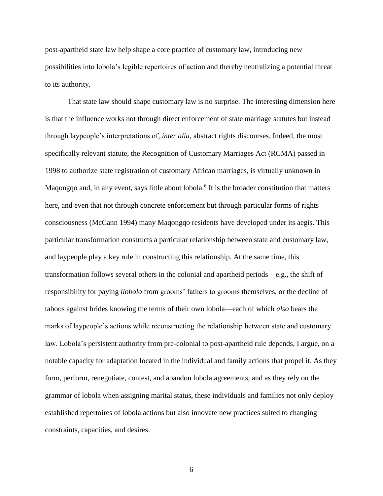post-apartheid state law help shape a core practice of customary law, introducing new possibilities into lobola's legible repertoires of action and thereby neutralizing a potential threat to its authority.

That state law should shape customary law is no surprise. The interesting dimension here is that the influence works not through direct enforcement of state marriage statutes but instead through laypeople's interpretations of, *inter alia*, abstract rights discourses. Indeed, the most specifically relevant statute, the Recognition of Customary Marriages Act (RCMA) passed in 1998 to authorize state registration of customary African marriages, is virtually unknown in Maqongqo and, in any event, says little about lobola.<sup>6</sup> It is the broader constitution that matters here, and even that not through concrete enforcement but through particular forms of rights consciousness (McCann 1994) many Maqongqo residents have developed under its aegis. This particular transformation constructs a particular relationship between state and customary law, and laypeople play a key role in constructing this relationship. At the same time, this transformation follows several others in the colonial and apartheid periods—e.g., the shift of responsibility for paying *ilobolo* from grooms' fathers to grooms themselves, or the decline of taboos against brides knowing the terms of their own lobola—each of which *also* bears the marks of laypeople's actions while reconstructing the relationship between state and customary law. Lobola's persistent authority from pre-colonial to post-apartheid rule depends, I argue, on a notable capacity for adaptation located in the individual and family actions that propel it. As they form, perform, renegotiate, contest, and abandon lobola agreements, and as they rely on the grammar of lobola when assigning marital status, these individuals and families not only deploy established repertoires of lobola actions but also innovate new practices suited to changing constraints, capacities, and desires.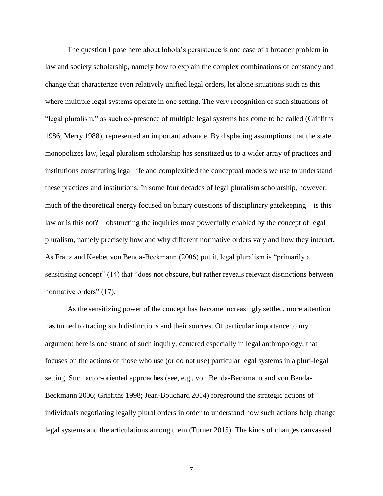The question I pose here about lobola's persistence is one case of a broader problem in law and society scholarship, namely how to explain the complex combinations of constancy and change that characterize even relatively unified legal orders, let alone situations such as this where multiple legal systems operate in one setting. The very recognition of such situations of "legal pluralism," as such co-presence of multiple legal systems has come to be called (Griffiths 1986; Merry 1988), represented an important advance. By displacing assumptions that the state monopolizes law, legal pluralism scholarship has sensitized us to a wider array of practices and institutions constituting legal life and complexified the conceptual models we use to understand these practices and institutions. In some four decades of legal pluralism scholarship, however, much of the theoretical energy focused on binary questions of disciplinary gatekeeping—is this law or is this not?—obstructing the inquiries most powerfully enabled by the concept of legal pluralism, namely precisely how and why different normative orders vary and how they interact. As Franz and Keebet von Benda-Beckmann (2006) put it, legal pluralism is "primarily a sensitising concept" (14) that "does not obscure, but rather reveals relevant distinctions between normative orders" (17).

As the sensitizing power of the concept has become increasingly settled, more attention has turned to tracing such distinctions and their sources. Of particular importance to my argument here is one strand of such inquiry, centered especially in legal anthropology, that focuses on the actions of those who use (or do not use) particular legal systems in a pluri-legal setting. Such actor-oriented approaches (see, e.g., von Benda-Beckmann and von Benda-Beckmann 2006; Griffiths 1998; Jean-Bouchard 2014) foreground the strategic actions of individuals negotiating legally plural orders in order to understand how such actions help change legal systems and the articulations among them (Turner 2015). The kinds of changes canvassed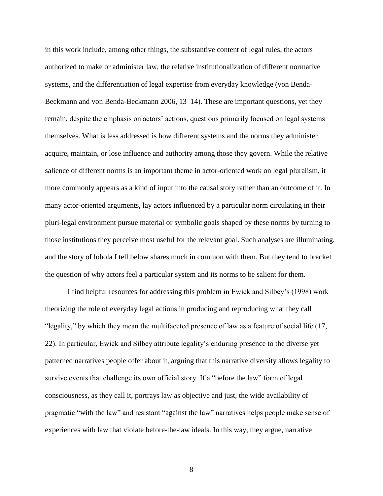in this work include, among other things, the substantive content of legal rules, the actors authorized to make or administer law, the relative institutionalization of different normative systems, and the differentiation of legal expertise from everyday knowledge (von Benda-Beckmann and von Benda-Beckmann 2006, 13–14). These are important questions, yet they remain, despite the emphasis on actors' actions, questions primarily focused on legal systems themselves. What is less addressed is how different systems and the norms they administer acquire, maintain, or lose influence and authority among those they govern. While the relative salience of different norms is an important theme in actor-oriented work on legal pluralism, it more commonly appears as a kind of input into the causal story rather than an outcome of it. In many actor-oriented arguments, lay actors influenced by a particular norm circulating in their pluri-legal environment pursue material or symbolic goals shaped by these norms by turning to those institutions they perceive most useful for the relevant goal. Such analyses are illuminating, and the story of lobola I tell below shares much in common with them. But they tend to bracket the question of why actors feel a particular system and its norms to be salient for them.

I find helpful resources for addressing this problem in Ewick and Silbey's (1998) work theorizing the role of everyday legal actions in producing and reproducing what they call "legality," by which they mean the multifaceted presence of law as a feature of social life (17, 22). In particular, Ewick and Silbey attribute legality's enduring presence to the diverse yet patterned narratives people offer about it, arguing that this narrative diversity allows legality to survive events that challenge its own official story. If a "before the law" form of legal consciousness, as they call it, portrays law as objective and just, the wide availability of pragmatic "with the law" and resistant "against the law" narratives helps people make sense of experiences with law that violate before-the-law ideals. In this way, they argue, narrative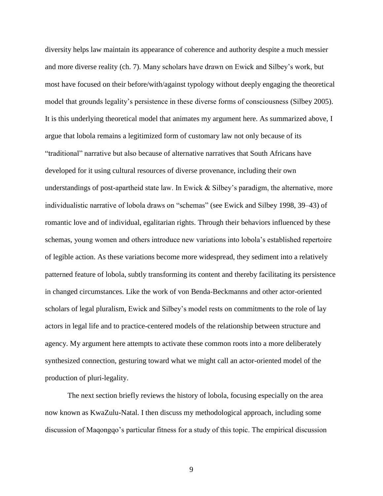diversity helps law maintain its appearance of coherence and authority despite a much messier and more diverse reality (ch. 7). Many scholars have drawn on Ewick and Silbey's work, but most have focused on their before/with/against typology without deeply engaging the theoretical model that grounds legality's persistence in these diverse forms of consciousness (Silbey 2005). It is this underlying theoretical model that animates my argument here. As summarized above, I argue that lobola remains a legitimized form of customary law not only because of its "traditional" narrative but also because of alternative narratives that South Africans have developed for it using cultural resources of diverse provenance, including their own understandings of post-apartheid state law. In Ewick & Silbey's paradigm, the alternative, more individualistic narrative of lobola draws on "schemas" (see Ewick and Silbey 1998, 39–43) of romantic love and of individual, egalitarian rights. Through their behaviors influenced by these schemas, young women and others introduce new variations into lobola's established repertoire of legible action. As these variations become more widespread, they sediment into a relatively patterned feature of lobola, subtly transforming its content and thereby facilitating its persistence in changed circumstances. Like the work of von Benda-Beckmanns and other actor-oriented scholars of legal pluralism, Ewick and Silbey's model rests on commitments to the role of lay actors in legal life and to practice-centered models of the relationship between structure and agency. My argument here attempts to activate these common roots into a more deliberately synthesized connection, gesturing toward what we might call an actor-oriented model of the production of pluri-legality.

The next section briefly reviews the history of lobola, focusing especially on the area now known as KwaZulu-Natal. I then discuss my methodological approach, including some discussion of Maqongqo's particular fitness for a study of this topic. The empirical discussion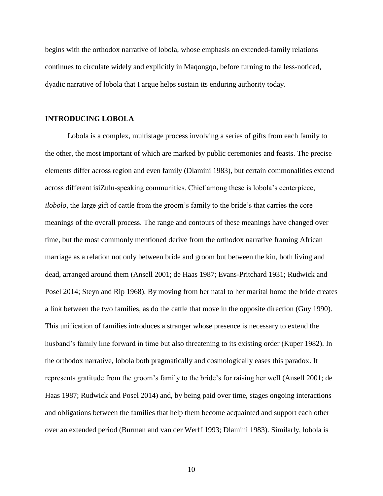begins with the orthodox narrative of lobola, whose emphasis on extended-family relations continues to circulate widely and explicitly in Maqongqo, before turning to the less-noticed, dyadic narrative of lobola that I argue helps sustain its enduring authority today.

#### **INTRODUCING LOBOLA**

Lobola is a complex, multistage process involving a series of gifts from each family to the other, the most important of which are marked by public ceremonies and feasts. The precise elements differ across region and even family (Dlamini 1983), but certain commonalities extend across different isiZulu-speaking communities. Chief among these is lobola's centerpiece, *ilobolo*, the large gift of cattle from the groom's family to the bride's that carries the core meanings of the overall process. The range and contours of these meanings have changed over time, but the most commonly mentioned derive from the orthodox narrative framing African marriage as a relation not only between bride and groom but between the kin, both living and dead, arranged around them (Ansell 2001; de Haas 1987; Evans-Pritchard 1931; Rudwick and Posel 2014; Steyn and Rip 1968). By moving from her natal to her marital home the bride creates a link between the two families, as do the cattle that move in the opposite direction (Guy 1990). This unification of families introduces a stranger whose presence is necessary to extend the husband's family line forward in time but also threatening to its existing order (Kuper 1982). In the orthodox narrative, lobola both pragmatically and cosmologically eases this paradox. It represents gratitude from the groom's family to the bride's for raising her well (Ansell 2001; de Haas 1987; Rudwick and Posel 2014) and, by being paid over time, stages ongoing interactions and obligations between the families that help them become acquainted and support each other over an extended period (Burman and van der Werff 1993; Dlamini 1983). Similarly, lobola is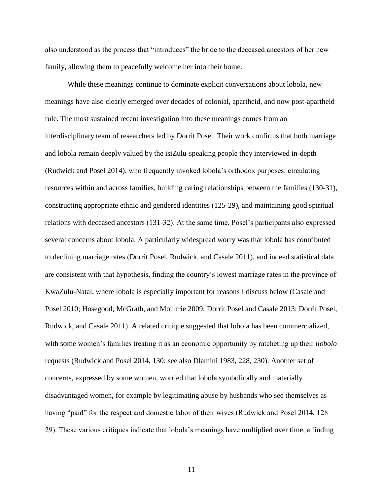also understood as the process that "introduces" the bride to the deceased ancestors of her new family, allowing them to peacefully welcome her into their home.

While these meanings continue to dominate explicit conversations about lobola, new meanings have also clearly emerged over decades of colonial, apartheid, and now post-apartheid rule. The most sustained recent investigation into these meanings comes from an interdisciplinary team of researchers led by Dorrit Posel. Their work confirms that both marriage and lobola remain deeply valued by the isiZulu-speaking people they interviewed in-depth (Rudwick and Posel 2014), who frequently invoked lobola's orthodox purposes: circulating resources within and across families, building caring relationships between the families (130-31), constructing appropriate ethnic and gendered identities (125-29), and maintaining good spiritual relations with deceased ancestors (131-32). At the same time, Posel's participants also expressed several concerns about lobola. A particularly widespread worry was that lobola has contributed to declining marriage rates (Dorrit Posel, Rudwick, and Casale 2011), and indeed statistical data are consistent with that hypothesis, finding the country's lowest marriage rates in the province of KwaZulu-Natal, where lobola is especially important for reasons I discuss below (Casale and Posel 2010; Hosegood, McGrath, and Moultrie 2009; Dorrit Posel and Casale 2013; Dorrit Posel, Rudwick, and Casale 2011). A related critique suggested that lobola has been commercialized, with some women's families treating it as an economic opportunity by ratcheting up their *ilobolo*  requests (Rudwick and Posel 2014, 130; see also Dlamini 1983, 228, 230). Another set of concerns, expressed by some women, worried that lobola symbolically and materially disadvantaged women, for example by legitimating abuse by husbands who see themselves as having "paid" for the respect and domestic labor of their wives (Rudwick and Posel 2014, 128– 29). These various critiques indicate that lobola's meanings have multiplied over time, a finding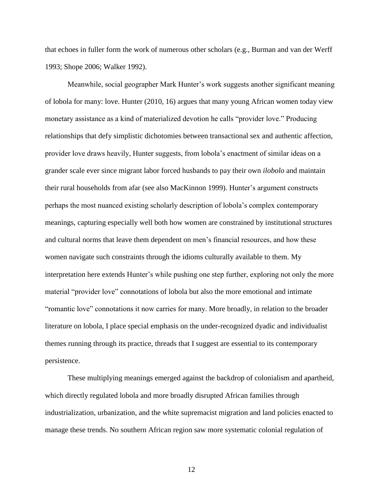that echoes in fuller form the work of numerous other scholars (e.g., Burman and van der Werff 1993; Shope 2006; Walker 1992).

Meanwhile, social geographer Mark Hunter's work suggests another significant meaning of lobola for many: love. Hunter (2010, 16) argues that many young African women today view monetary assistance as a kind of materialized devotion he calls "provider love." Producing relationships that defy simplistic dichotomies between transactional sex and authentic affection, provider love draws heavily, Hunter suggests, from lobola's enactment of similar ideas on a grander scale ever since migrant labor forced husbands to pay their own *ilobolo* and maintain their rural households from afar (see also MacKinnon 1999). Hunter's argument constructs perhaps the most nuanced existing scholarly description of lobola's complex contemporary meanings, capturing especially well both how women are constrained by institutional structures and cultural norms that leave them dependent on men's financial resources, and how these women navigate such constraints through the idioms culturally available to them. My interpretation here extends Hunter's while pushing one step further, exploring not only the more material "provider love" connotations of lobola but also the more emotional and intimate "romantic love" connotations it now carries for many. More broadly, in relation to the broader literature on lobola, I place special emphasis on the under-recognized dyadic and individualist themes running through its practice, threads that I suggest are essential to its contemporary persistence.

These multiplying meanings emerged against the backdrop of colonialism and apartheid, which directly regulated lobola and more broadly disrupted African families through industrialization, urbanization, and the white supremacist migration and land policies enacted to manage these trends. No southern African region saw more systematic colonial regulation of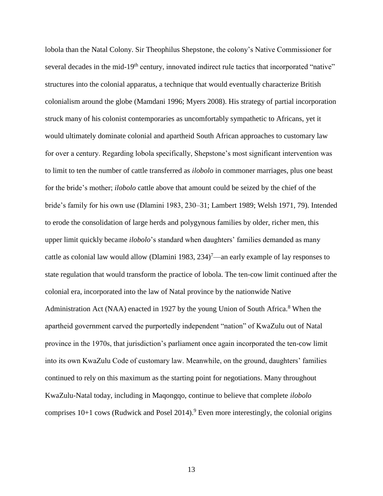lobola than the Natal Colony. Sir Theophilus Shepstone, the colony's Native Commissioner for several decades in the mid-19<sup>th</sup> century, innovated indirect rule tactics that incorporated "native" structures into the colonial apparatus, a technique that would eventually characterize British colonialism around the globe (Mamdani 1996; Myers 2008). His strategy of partial incorporation struck many of his colonist contemporaries as uncomfortably sympathetic to Africans, yet it would ultimately dominate colonial and apartheid South African approaches to customary law for over a century. Regarding lobola specifically, Shepstone's most significant intervention was to limit to ten the number of cattle transferred as *ilobolo* in commoner marriages, plus one beast for the bride's mother; *ilobolo* cattle above that amount could be seized by the chief of the bride's family for his own use (Dlamini 1983, 230–31; Lambert 1989; Welsh 1971, 79). Intended to erode the consolidation of large herds and polygynous families by older, richer men, this upper limit quickly became *ilobolo*'s standard when daughters' families demanded as many cattle as colonial law would allow (Dlamini 1983,  $234$ )<sup>7</sup>—an early example of lay responses to state regulation that would transform the practice of lobola. The ten-cow limit continued after the colonial era, incorporated into the law of Natal province by the nationwide Native Administration Act (NAA) enacted in 1927 by the young Union of South Africa.<sup>8</sup> When the apartheid government carved the purportedly independent "nation" of KwaZulu out of Natal province in the 1970s, that jurisdiction's parliament once again incorporated the ten-cow limit into its own KwaZulu Code of customary law. Meanwhile, on the ground, daughters' families continued to rely on this maximum as the starting point for negotiations. Many throughout KwaZulu-Natal today, including in Maqongqo, continue to believe that complete *ilobolo* comprises  $10+1$  cows (Rudwick and Posel 2014). <sup>9</sup> Even more interestingly, the colonial origins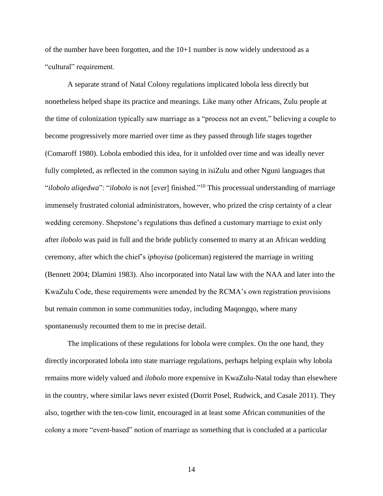of the number have been forgotten, and the  $10+1$  number is now widely understood as a "cultural" requirement.

A separate strand of Natal Colony regulations implicated lobola less directly but nonetheless helped shape its practice and meanings. Like many other Africans, Zulu people at the time of colonization typically saw marriage as a "process not an event," believing a couple to become progressively more married over time as they passed through life stages together (Comaroff 1980). Lobola embodied this idea, for it unfolded over time and was ideally never fully completed, as reflected in the common saying in isiZulu and other Nguni languages that "*ilobolo aliqedwa*": "*ilobolo* is not [ever] finished."<sup>10</sup> This processual understanding of marriage immensely frustrated colonial administrators, however, who prized the crisp certainty of a clear wedding ceremony. Shepstone's regulations thus defined a customary marriage to exist only after *ilobolo* was paid in full and the bride publicly consented to marry at an African wedding ceremony, after which the chief's *iphoyisa* (policeman) registered the marriage in writing (Bennett 2004; Dlamini 1983). Also incorporated into Natal law with the NAA and later into the KwaZulu Code, these requirements were amended by the RCMA's own registration provisions but remain common in some communities today, including Maqongqo, where many spontaneously recounted them to me in precise detail.

The implications of these regulations for lobola were complex. On the one hand, they directly incorporated lobola into state marriage regulations, perhaps helping explain why lobola remains more widely valued and *ilobolo* more expensive in KwaZulu-Natal today than elsewhere in the country, where similar laws never existed (Dorrit Posel, Rudwick, and Casale 2011). They also, together with the ten-cow limit, encouraged in at least some African communities of the colony a more "event-based" notion of marriage as something that is concluded at a particular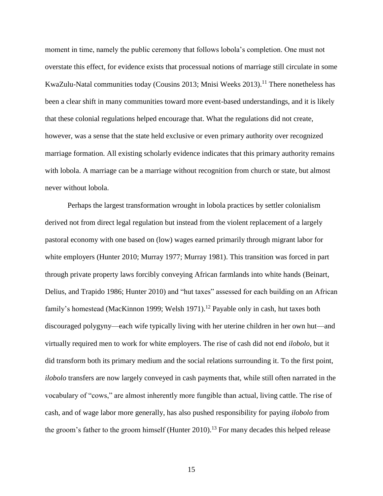moment in time, namely the public ceremony that follows lobola's completion. One must not overstate this effect, for evidence exists that processual notions of marriage still circulate in some KwaZulu-Natal communities today (Cousins 2013; Mnisi Weeks 2013).<sup>11</sup> There nonetheless has been a clear shift in many communities toward more event-based understandings, and it is likely that these colonial regulations helped encourage that. What the regulations did not create, however, was a sense that the state held exclusive or even primary authority over recognized marriage formation. All existing scholarly evidence indicates that this primary authority remains with lobola. A marriage can be a marriage without recognition from church or state, but almost never without lobola.

Perhaps the largest transformation wrought in lobola practices by settler colonialism derived not from direct legal regulation but instead from the violent replacement of a largely pastoral economy with one based on (low) wages earned primarily through migrant labor for white employers (Hunter 2010; Murray 1977; Murray 1981). This transition was forced in part through private property laws forcibly conveying African farmlands into white hands (Beinart, Delius, and Trapido 1986; Hunter 2010) and "hut taxes" assessed for each building on an African family's homestead (MacKinnon 1999; Welsh 1971).<sup>12</sup> Payable only in cash, hut taxes both discouraged polygyny—each wife typically living with her uterine children in her own hut—and virtually required men to work for white employers. The rise of cash did not end *ilobolo*, but it did transform both its primary medium and the social relations surrounding it. To the first point, *ilobolo* transfers are now largely conveyed in cash payments that, while still often narrated in the vocabulary of "cows," are almost inherently more fungible than actual, living cattle. The rise of cash, and of wage labor more generally, has also pushed responsibility for paying *ilobolo* from the groom's father to the groom himself (Hunter 2010).<sup>13</sup> For many decades this helped release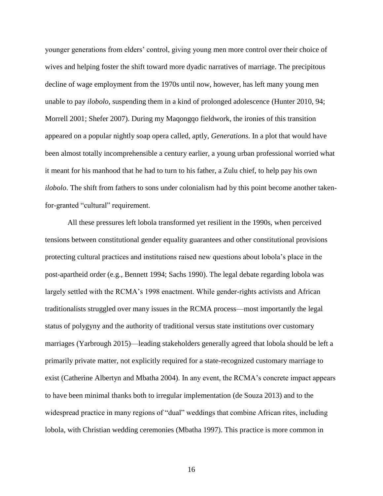younger generations from elders' control, giving young men more control over their choice of wives and helping foster the shift toward more dyadic narratives of marriage. The precipitous decline of wage employment from the 1970s until now, however, has left many young men unable to pay *ilobolo*, suspending them in a kind of prolonged adolescence (Hunter 2010, 94; Morrell 2001; Shefer 2007). During my Maqongqo fieldwork, the ironies of this transition appeared on a popular nightly soap opera called, aptly, *Generations*. In a plot that would have been almost totally incomprehensible a century earlier, a young urban professional worried what it meant for his manhood that he had to turn to his father, a Zulu chief, to help pay his own *ilobolo*. The shift from fathers to sons under colonialism had by this point become another takenfor-granted "cultural" requirement.

All these pressures left lobola transformed yet resilient in the 1990s, when perceived tensions between constitutional gender equality guarantees and other constitutional provisions protecting cultural practices and institutions raised new questions about lobola's place in the post-apartheid order (e.g., Bennett 1994; Sachs 1990). The legal debate regarding lobola was largely settled with the RCMA's 1998 enactment. While gender-rights activists and African traditionalists struggled over many issues in the RCMA process—most importantly the legal status of polygyny and the authority of traditional versus state institutions over customary marriages (Yarbrough 2015)—leading stakeholders generally agreed that lobola should be left a primarily private matter, not explicitly required for a state-recognized customary marriage to exist (Catherine Albertyn and Mbatha 2004). In any event, the RCMA's concrete impact appears to have been minimal thanks both to irregular implementation (de Souza 2013) and to the widespread practice in many regions of "dual" weddings that combine African rites, including lobola, with Christian wedding ceremonies (Mbatha 1997). This practice is more common in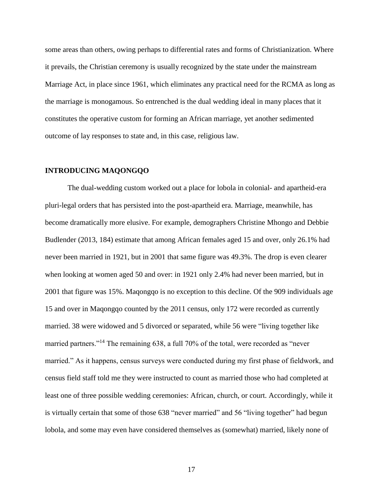some areas than others, owing perhaps to differential rates and forms of Christianization. Where it prevails, the Christian ceremony is usually recognized by the state under the mainstream Marriage Act, in place since 1961, which eliminates any practical need for the RCMA as long as the marriage is monogamous. So entrenched is the dual wedding ideal in many places that it constitutes the operative custom for forming an African marriage, yet another sedimented outcome of lay responses to state and, in this case, religious law.

#### **INTRODUCING MAQONGQO**

The dual-wedding custom worked out a place for lobola in colonial- and apartheid-era pluri-legal orders that has persisted into the post-apartheid era. Marriage, meanwhile, has become dramatically more elusive. For example, demographers Christine Mhongo and Debbie Budlender (2013, 184) estimate that among African females aged 15 and over, only 26.1% had never been married in 1921, but in 2001 that same figure was 49.3%. The drop is even clearer when looking at women aged 50 and over: in 1921 only 2.4% had never been married, but in 2001 that figure was 15%. Maqongqo is no exception to this decline. Of the 909 individuals age 15 and over in Maqongqo counted by the 2011 census, only 172 were recorded as currently married. 38 were widowed and 5 divorced or separated, while 56 were "living together like married partners."<sup>14</sup> The remaining 638, a full 70% of the total, were recorded as "never married." As it happens, census surveys were conducted during my first phase of fieldwork, and census field staff told me they were instructed to count as married those who had completed at least one of three possible wedding ceremonies: African, church, or court. Accordingly, while it is virtually certain that some of those 638 "never married" and 56 "living together" had begun lobola, and some may even have considered themselves as (somewhat) married, likely none of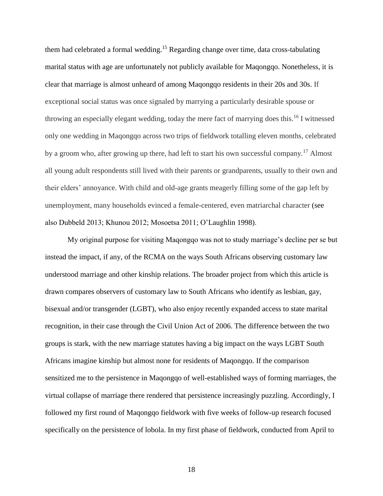them had celebrated a formal wedding.<sup>15</sup> Regarding change over time, data cross-tabulating marital status with age are unfortunately not publicly available for Maqongqo. Nonetheless, it is clear that marriage is almost unheard of among Maqongqo residents in their 20s and 30s. If exceptional social status was once signaled by marrying a particularly desirable spouse or throwing an especially elegant wedding, today the mere fact of marrying does this. <sup>16</sup> I witnessed only one wedding in Maqongqo across two trips of fieldwork totalling eleven months, celebrated by a groom who, after growing up there, had left to start his own successful company.<sup>17</sup> Almost all young adult respondents still lived with their parents or grandparents, usually to their own and their elders' annoyance. With child and old-age grants meagerly filling some of the gap left by unemployment, many households evinced a female-centered, even matriarchal character (see also Dubbeld 2013; Khunou 2012; Mosoetsa 2011; O'Laughlin 1998).

My original purpose for visiting Maqongqo was not to study marriage's decline per se but instead the impact, if any, of the RCMA on the ways South Africans observing customary law understood marriage and other kinship relations. The broader project from which this article is drawn compares observers of customary law to South Africans who identify as lesbian, gay, bisexual and/or transgender (LGBT), who also enjoy recently expanded access to state marital recognition, in their case through the Civil Union Act of 2006. The difference between the two groups is stark, with the new marriage statutes having a big impact on the ways LGBT South Africans imagine kinship but almost none for residents of Maqongqo. If the comparison sensitized me to the persistence in Maqongqo of well-established ways of forming marriages, the virtual collapse of marriage there rendered that persistence increasingly puzzling. Accordingly, I followed my first round of Maqongqo fieldwork with five weeks of follow-up research focused specifically on the persistence of lobola. In my first phase of fieldwork, conducted from April to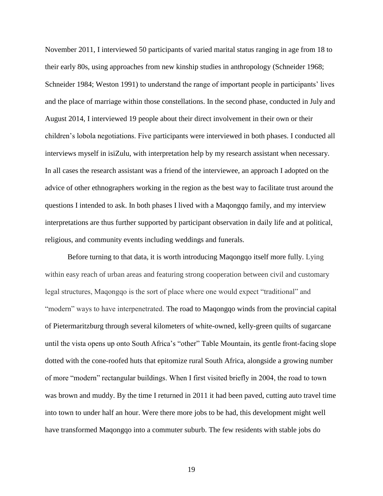November 2011, I interviewed 50 participants of varied marital status ranging in age from 18 to their early 80s, using approaches from new kinship studies in anthropology (Schneider 1968; Schneider 1984; Weston 1991) to understand the range of important people in participants' lives and the place of marriage within those constellations. In the second phase, conducted in July and August 2014, I interviewed 19 people about their direct involvement in their own or their children's lobola negotiations. Five participants were interviewed in both phases. I conducted all interviews myself in isiZulu, with interpretation help by my research assistant when necessary. In all cases the research assistant was a friend of the interviewee, an approach I adopted on the advice of other ethnographers working in the region as the best way to facilitate trust around the questions I intended to ask. In both phases I lived with a Maqongqo family, and my interview interpretations are thus further supported by participant observation in daily life and at political, religious, and community events including weddings and funerals.

Before turning to that data, it is worth introducing Maqongqo itself more fully. Lying within easy reach of urban areas and featuring strong cooperation between civil and customary legal structures, Maqongqo is the sort of place where one would expect "traditional" and "modern" ways to have interpenetrated. The road to Maqongqo winds from the provincial capital of Pietermaritzburg through several kilometers of white-owned, kelly-green quilts of sugarcane until the vista opens up onto South Africa's "other" Table Mountain, its gentle front-facing slope dotted with the cone-roofed huts that epitomize rural South Africa, alongside a growing number of more "modern" rectangular buildings. When I first visited briefly in 2004, the road to town was brown and muddy. By the time I returned in 2011 it had been paved, cutting auto travel time into town to under half an hour. Were there more jobs to be had, this development might well have transformed Maqongqo into a commuter suburb. The few residents with stable jobs do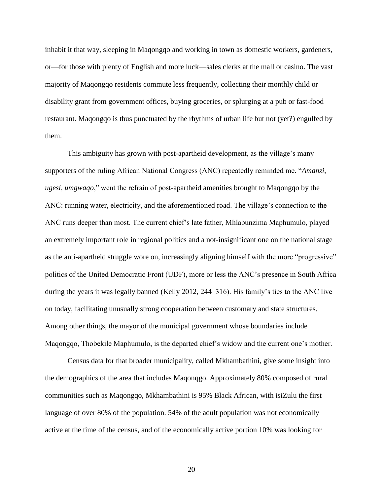inhabit it that way, sleeping in Maqongqo and working in town as domestic workers, gardeners, or—for those with plenty of English and more luck—sales clerks at the mall or casino. The vast majority of Maqongqo residents commute less frequently, collecting their monthly child or disability grant from government offices, buying groceries, or splurging at a pub or fast-food restaurant. Maqongqo is thus punctuated by the rhythms of urban life but not (yet?) engulfed by them.

This ambiguity has grown with post-apartheid development, as the village's many supporters of the ruling African National Congress (ANC) repeatedly reminded me. "*Amanzi, ugesi, umgwaqo*," went the refrain of post-apartheid amenities brought to Maqongqo by the ANC: running water, electricity, and the aforementioned road. The village's connection to the ANC runs deeper than most. The current chief's late father, Mhlabunzima Maphumulo, played an extremely important role in regional politics and a not-insignificant one on the national stage as the anti-apartheid struggle wore on, increasingly aligning himself with the more "progressive" politics of the United Democratic Front (UDF), more or less the ANC's presence in South Africa during the years it was legally banned (Kelly 2012, 244–316). His family's ties to the ANC live on today, facilitating unusually strong cooperation between customary and state structures. Among other things, the mayor of the municipal government whose boundaries include Maqongqo, Thobekile Maphumulo, is the departed chief's widow and the current one's mother.

Census data for that broader municipality, called Mkhambathini, give some insight into the demographics of the area that includes Maqonqgo. Approximately 80% composed of rural communities such as Maqongqo, Mkhambathini is 95% Black African, with isiZulu the first language of over 80% of the population. 54% of the adult population was not economically active at the time of the census, and of the economically active portion 10% was looking for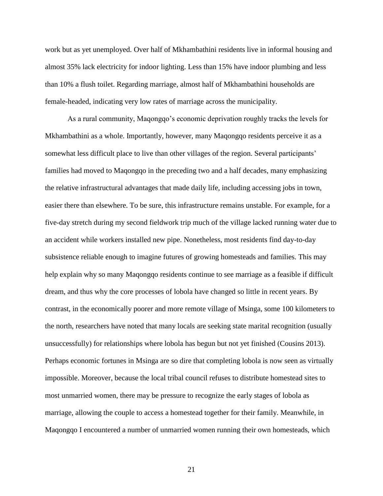work but as yet unemployed. Over half of Mkhambathini residents live in informal housing and almost 35% lack electricity for indoor lighting. Less than 15% have indoor plumbing and less than 10% a flush toilet. Regarding marriage, almost half of Mkhambathini households are female-headed, indicating very low rates of marriage across the municipality.

As a rural community, Maqongqo's economic deprivation roughly tracks the levels for Mkhambathini as a whole. Importantly, however, many Maqongqo residents perceive it as a somewhat less difficult place to live than other villages of the region. Several participants' families had moved to Maqongqo in the preceding two and a half decades, many emphasizing the relative infrastructural advantages that made daily life, including accessing jobs in town, easier there than elsewhere. To be sure, this infrastructure remains unstable. For example, for a five-day stretch during my second fieldwork trip much of the village lacked running water due to an accident while workers installed new pipe. Nonetheless, most residents find day-to-day subsistence reliable enough to imagine futures of growing homesteads and families. This may help explain why so many Maqongqo residents continue to see marriage as a feasible if difficult dream, and thus why the core processes of lobola have changed so little in recent years. By contrast, in the economically poorer and more remote village of Msinga, some 100 kilometers to the north, researchers have noted that many locals are seeking state marital recognition (usually unsuccessfully) for relationships where lobola has begun but not yet finished (Cousins 2013). Perhaps economic fortunes in Msinga are so dire that completing lobola is now seen as virtually impossible. Moreover, because the local tribal council refuses to distribute homestead sites to most unmarried women, there may be pressure to recognize the early stages of lobola as marriage, allowing the couple to access a homestead together for their family. Meanwhile, in Maqongqo I encountered a number of unmarried women running their own homesteads, which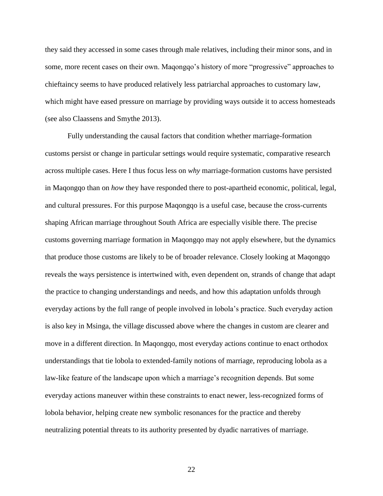they said they accessed in some cases through male relatives, including their minor sons, and in some, more recent cases on their own. Maqongqo's history of more "progressive" approaches to chieftaincy seems to have produced relatively less patriarchal approaches to customary law, which might have eased pressure on marriage by providing ways outside it to access homesteads (see also Claassens and Smythe 2013).

Fully understanding the causal factors that condition whether marriage-formation customs persist or change in particular settings would require systematic, comparative research across multiple cases. Here I thus focus less on *why* marriage-formation customs have persisted in Maqongqo than on *how* they have responded there to post-apartheid economic, political, legal, and cultural pressures. For this purpose Maqongqo is a useful case, because the cross-currents shaping African marriage throughout South Africa are especially visible there. The precise customs governing marriage formation in Maqongqo may not apply elsewhere, but the dynamics that produce those customs are likely to be of broader relevance. Closely looking at Maqongqo reveals the ways persistence is intertwined with, even dependent on, strands of change that adapt the practice to changing understandings and needs, and how this adaptation unfolds through everyday actions by the full range of people involved in lobola's practice. Such everyday action is also key in Msinga, the village discussed above where the changes in custom are clearer and move in a different direction. In Maqongqo, most everyday actions continue to enact orthodox understandings that tie lobola to extended-family notions of marriage, reproducing lobola as a law-like feature of the landscape upon which a marriage's recognition depends. But some everyday actions maneuver within these constraints to enact newer, less-recognized forms of lobola behavior, helping create new symbolic resonances for the practice and thereby neutralizing potential threats to its authority presented by dyadic narratives of marriage.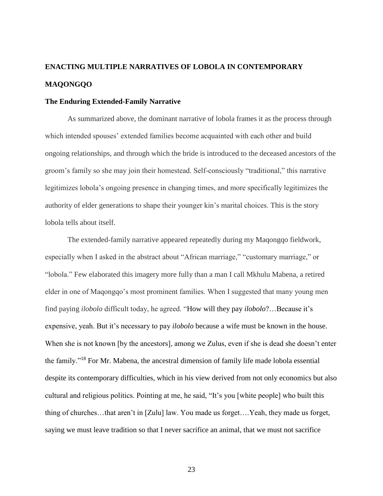# **ENACTING MULTIPLE NARRATIVES OF LOBOLA IN CONTEMPORARY MAQONGQO**

#### **The Enduring Extended-Family Narrative**

As summarized above, the dominant narrative of lobola frames it as the process through which intended spouses' extended families become acquainted with each other and build ongoing relationships, and through which the bride is introduced to the deceased ancestors of the groom's family so she may join their homestead. Self-consciously "traditional," this narrative legitimizes lobola's ongoing presence in changing times, and more specifically legitimizes the authority of elder generations to shape their younger kin's marital choices. This is the story lobola tells about itself.

The extended-family narrative appeared repeatedly during my Maqongqo fieldwork, especially when I asked in the abstract about "African marriage," "customary marriage," or "lobola." Few elaborated this imagery more fully than a man I call Mkhulu Mabena, a retired elder in one of Maqongqo's most prominent families. When I suggested that many young men find paying *ilobolo* difficult today, he agreed. "How will they pay *ilobolo*?…Because it's expensive, yeah. But it's necessary to pay *ilobolo* because a wife must be known in the house. When she is not known [by the ancestors], among we Zulus, even if she is dead she doesn't enter the family."<sup>18</sup> For Mr. Mabena, the ancestral dimension of family life made lobola essential despite its contemporary difficulties, which in his view derived from not only economics but also cultural and religious politics. Pointing at me, he said, "It's you [white people] who built this thing of churches…that aren't in [Zulu] law. You made us forget….Yeah, they made us forget, saying we must leave tradition so that I never sacrifice an animal, that we must not sacrifice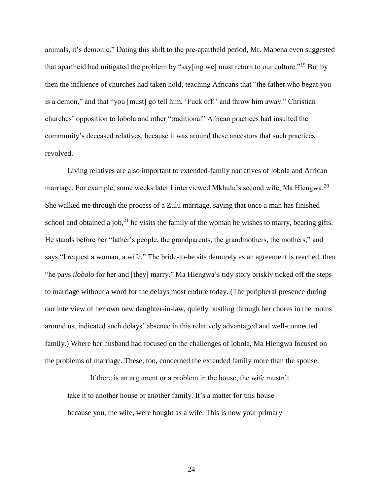animals, it's demonic." Dating this shift to the pre-apartheid period, Mr. Mabena even suggested that apartheid had mitigated the problem by "say [ing we] must return to our culture."<sup>19</sup> But by then the influence of churches had taken hold, teaching Africans that "the father who begat you is a demon," and that "you [must] go tell him, 'Fuck off!' and throw him away." Christian churches' opposition to lobola and other "traditional" African practices had insulted the community's deceased relatives, because it was around these ancestors that such practices revolved.

Living relatives are also important to extended-family narratives of lobola and African marriage. For example, some weeks later I interviewed Mkhulu's second wife, Ma Hlengwa.<sup>20</sup> She walked me through the process of a Zulu marriage, saying that once a man has finished school and obtained a job,  $2<sup>1</sup>$  he visits the family of the woman he wishes to marry, bearing gifts. He stands before her "father's people, the grandparents, the grandmothers, the mothers," and says "I request a woman, a wife." The bride-to-be sits demurely as an agreement is reached, then "he pays *ilobolo* for her and [they] marry." Ma Hlengwa's tidy story briskly ticked off the steps to marriage without a word for the delays most endure today. (The peripheral presence during our interview of her own new daughter-in-law, quietly bustling through her chores in the rooms around us, indicated such delays' absence in this relatively advantaged and well-connected family.) Where her husband had focused on the challenges of lobola, Ma Hlengwa focused on the problems of marriage. These, too, concerned the extended family more than the spouse.

If there is an argument or a problem in the house, the wife mustn't take it to another house or another family. It's a matter for this house because you, the wife, were bought as a wife. This is now your primary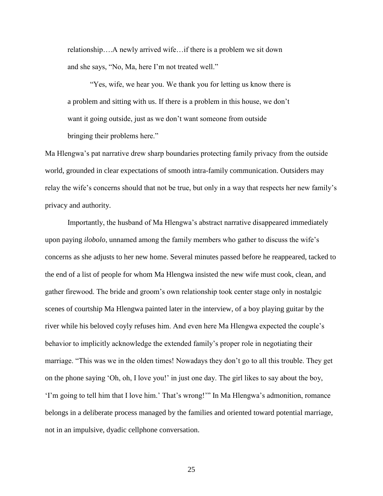relationship….A newly arrived wife…if there is a problem we sit down and she says, "No, Ma, here I'm not treated well."

"Yes, wife, we hear you. We thank you for letting us know there is a problem and sitting with us. If there is a problem in this house, we don't want it going outside, just as we don't want someone from outside bringing their problems here."

Ma Hlengwa's pat narrative drew sharp boundaries protecting family privacy from the outside world, grounded in clear expectations of smooth intra-family communication. Outsiders may relay the wife's concerns should that not be true, but only in a way that respects her new family's privacy and authority.

Importantly, the husband of Ma Hlengwa's abstract narrative disappeared immediately upon paying *ilobolo*, unnamed among the family members who gather to discuss the wife's concerns as she adjusts to her new home. Several minutes passed before he reappeared, tacked to the end of a list of people for whom Ma Hlengwa insisted the new wife must cook, clean, and gather firewood. The bride and groom's own relationship took center stage only in nostalgic scenes of courtship Ma Hlengwa painted later in the interview, of a boy playing guitar by the river while his beloved coyly refuses him. And even here Ma Hlengwa expected the couple's behavior to implicitly acknowledge the extended family's proper role in negotiating their marriage. "This was we in the olden times! Nowadays they don't go to all this trouble. They get on the phone saying 'Oh, oh, I love you!' in just one day. The girl likes to say about the boy, 'I'm going to tell him that I love him.' That's wrong!'" In Ma Hlengwa's admonition, romance belongs in a deliberate process managed by the families and oriented toward potential marriage, not in an impulsive, dyadic cellphone conversation.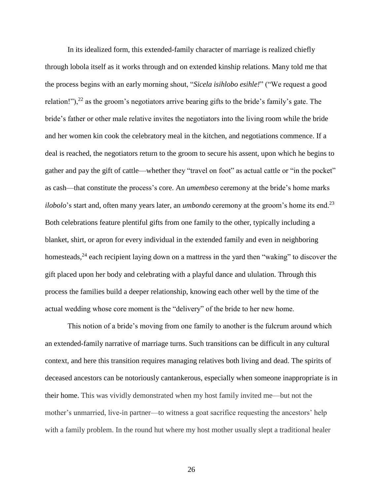In its idealized form, this extended-family character of marriage is realized chiefly through lobola itself as it works through and on extended kinship relations. Many told me that the process begins with an early morning shout, "*Sicela isihlobo esihle!*" ("We request a good relation!"), $^{22}$  as the groom's negotiators arrive bearing gifts to the bride's family's gate. The bride's father or other male relative invites the negotiators into the living room while the bride and her women kin cook the celebratory meal in the kitchen, and negotiations commence. If a deal is reached, the negotiators return to the groom to secure his assent, upon which he begins to gather and pay the gift of cattle—whether they "travel on foot" as actual cattle or "in the pocket" as cash—that constitute the process's core. An *umembeso* ceremony at the bride's home marks *ilobolo*'s start and, often many years later, an *umbondo* ceremony at the groom's home its end.<sup>23</sup> Both celebrations feature plentiful gifts from one family to the other, typically including a blanket, shirt, or apron for every individual in the extended family and even in neighboring homesteads,  $24$  each recipient laying down on a mattress in the yard then "waking" to discover the gift placed upon her body and celebrating with a playful dance and ululation. Through this process the families build a deeper relationship, knowing each other well by the time of the actual wedding whose core moment is the "delivery" of the bride to her new home.

This notion of a bride's moving from one family to another is the fulcrum around which an extended-family narrative of marriage turns. Such transitions can be difficult in any cultural context, and here this transition requires managing relatives both living and dead. The spirits of deceased ancestors can be notoriously cantankerous, especially when someone inappropriate is in their home. This was vividly demonstrated when my host family invited me—but not the mother's unmarried, live-in partner—to witness a goat sacrifice requesting the ancestors' help with a family problem. In the round hut where my host mother usually slept a traditional healer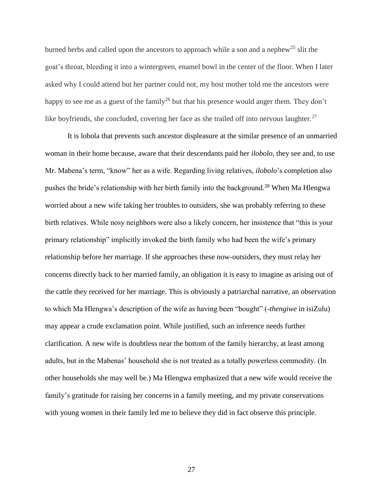burned herbs and called upon the ancestors to approach while a son and a nephew<sup>25</sup> slit the goat's throat, bleeding it into a wintergreen, enamel bowl in the center of the floor. When I later asked why I could attend but her partner could not, my host mother told me the ancestors were happy to see me as a guest of the family<sup>26</sup> but that his presence would anger them. They don't like boyfriends, she concluded, covering her face as she trailed off into nervous laughter.<sup>27</sup>

It is lobola that prevents such ancestor displeasure at the similar presence of an unmarried woman in their home because, aware that their descendants paid her *ilobolo*, they see and, to use Mr. Mabena's term, "know" her as a wife. Regarding living relatives, *ilobolo*'s completion also pushes the bride's relationship with her birth family into the background.<sup>28</sup> When Ma Hlengwa worried about a new wife taking her troubles to outsiders, she was probably referring to these birth relatives. While nosy neighbors were also a likely concern, her insistence that "this is your primary relationship" implicitly invoked the birth family who had been the wife's primary relationship before her marriage. If she approaches these now-outsiders, they must relay her concerns directly back to her married family, an obligation it is easy to imagine as arising out of the cattle they received for her marriage. This is obviously a patriarchal narrative, an observation to which Ma Hlengwa's description of the wife as having been "bought" (*-thengiwe* in isiZulu) may appear a crude exclamation point. While justified, such an inference needs further clarification. A new wife is doubtless near the bottom of the family hierarchy, at least among adults, but in the Mabenas' household she is not treated as a totally powerless commodity. (In other households she may well be.) Ma Hlengwa emphasized that a new wife would receive the family's gratitude for raising her concerns in a family meeting, and my private conservations with young women in their family led me to believe they did in fact observe this principle.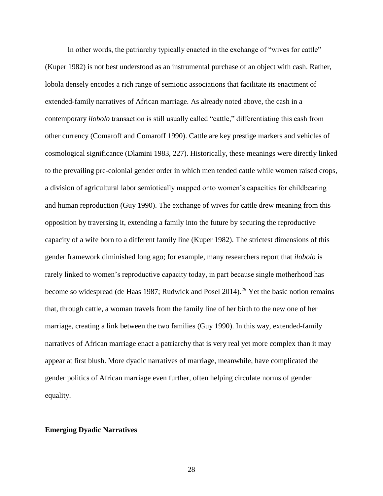In other words, the patriarchy typically enacted in the exchange of "wives for cattle" (Kuper 1982) is not best understood as an instrumental purchase of an object with cash. Rather, lobola densely encodes a rich range of semiotic associations that facilitate its enactment of extended-family narratives of African marriage. As already noted above, the cash in a contemporary *ilobolo* transaction is still usually called "cattle," differentiating this cash from other currency (Comaroff and Comaroff 1990). Cattle are key prestige markers and vehicles of cosmological significance (Dlamini 1983, 227). Historically, these meanings were directly linked to the prevailing pre-colonial gender order in which men tended cattle while women raised crops, a division of agricultural labor semiotically mapped onto women's capacities for childbearing and human reproduction (Guy 1990). The exchange of wives for cattle drew meaning from this opposition by traversing it, extending a family into the future by securing the reproductive capacity of a wife born to a different family line (Kuper 1982). The strictest dimensions of this gender framework diminished long ago; for example, many researchers report that *ilobolo* is rarely linked to women's reproductive capacity today, in part because single motherhood has become so widespread (de Haas 1987; Rudwick and Posel 2014).<sup>29</sup> Yet the basic notion remains that, through cattle, a woman travels from the family line of her birth to the new one of her marriage, creating a link between the two families (Guy 1990). In this way, extended-family narratives of African marriage enact a patriarchy that is very real yet more complex than it may appear at first blush. More dyadic narratives of marriage, meanwhile, have complicated the gender politics of African marriage even further, often helping circulate norms of gender equality.

#### **Emerging Dyadic Narratives**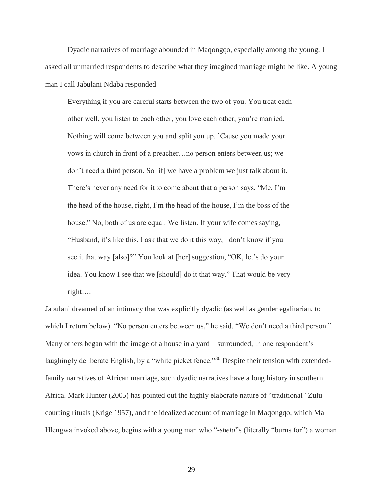Dyadic narratives of marriage abounded in Maqongqo, especially among the young. I asked all unmarried respondents to describe what they imagined marriage might be like. A young man I call Jabulani Ndaba responded:

Everything if you are careful starts between the two of you. You treat each other well, you listen to each other, you love each other, you're married. Nothing will come between you and split you up. 'Cause you made your vows in church in front of a preacher…no person enters between us; we don't need a third person. So [if] we have a problem we just talk about it. There's never any need for it to come about that a person says, "Me, I'm the head of the house, right, I'm the head of the house, I'm the boss of the house." No, both of us are equal. We listen. If your wife comes saying, "Husband, it's like this. I ask that we do it this way, I don't know if you see it that way [also]?" You look at [her] suggestion, "OK, let's do your idea. You know I see that we [should] do it that way." That would be very right….

Jabulani dreamed of an intimacy that was explicitly dyadic (as well as gender egalitarian, to which I return below). "No person enters between us," he said. "We don't need a third person." Many others began with the image of a house in a yard—surrounded, in one respondent's laughingly deliberate English, by a "white picket fence."<sup>30</sup> Despite their tension with extendedfamily narratives of African marriage, such dyadic narratives have a long history in southern Africa. Mark Hunter (2005) has pointed out the highly elaborate nature of "traditional" Zulu courting rituals (Krige 1957), and the idealized account of marriage in Maqongqo, which Ma Hlengwa invoked above, begins with a young man who "-*shela*"s (literally "burns for") a woman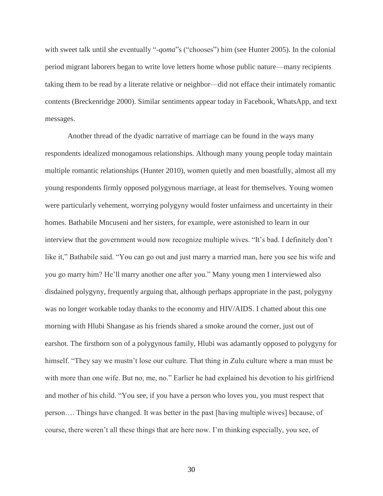with sweet talk until she eventually "-*qoma*"s ("chooses") him (see Hunter 2005). In the colonial period migrant laborers began to write love letters home whose public nature—many recipients taking them to be read by a literate relative or neighbor—did not efface their intimately romantic contents (Breckenridge 2000). Similar sentiments appear today in Facebook, WhatsApp, and text messages.

Another thread of the dyadic narrative of marriage can be found in the ways many respondents idealized monogamous relationships. Although many young people today maintain multiple romantic relationships (Hunter 2010), women quietly and men boastfully, almost all my young respondents firmly opposed polygynous marriage, at least for themselves. Young women were particularly vehement, worrying polygyny would foster unfairness and uncertainty in their homes. Bathabile Mncuseni and her sisters, for example, were astonished to learn in our interview that the government would now recognize multiple wives. "It's bad. I definitely don't like it," Bathabile said. "You can go out and just marry a married man, here you see his wife and you go marry him? He'll marry another one after you." Many young men I interviewed also disdained polygyny, frequently arguing that, although perhaps appropriate in the past, polygyny was no longer workable today thanks to the economy and HIV/AIDS. I chatted about this one morning with Hlubi Shangase as his friends shared a smoke around the corner, just out of earshot. The firstborn son of a polygynous family, Hlubi was adamantly opposed to polygyny for himself. "They say we mustn't lose our culture. That thing in Zulu culture where a man must be with more than one wife. But no, me, no." Earlier he had explained his devotion to his girlfriend and mother of his child. "You see, if you have a person who loves you, you must respect that person…. Things have changed. It was better in the past [having multiple wives] because, of course, there weren't all these things that are here now. I'm thinking especially, you see, of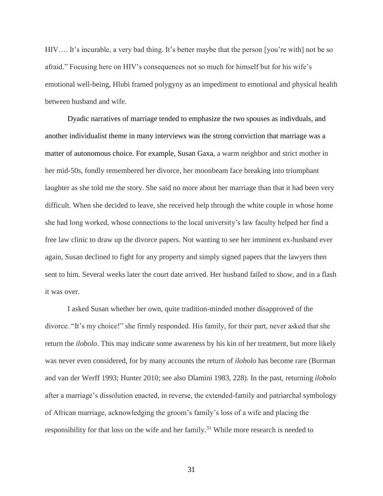HIV…. It's incurable, a very bad thing. It's better maybe that the person [you're with] not be so afraid." Focusing here on HIV's consequences not so much for himself but for his wife's emotional well-being, Hlubi framed polygyny as an impediment to emotional and physical health between husband and wife.

Dyadic narratives of marriage tended to emphasize the two spouses as indivduals, and another individualist theme in many interviews was the strong conviction that marriage was a matter of autonomous choice. For example, Susan Gaxa, a warm neighbor and strict mother in her mid-50s, fondly remembered her divorce, her moonbeam face breaking into triumphant laughter as she told me the story. She said no more about her marriage than that it had been very difficult. When she decided to leave, she received help through the white couple in whose home she had long worked, whose connections to the local university's law faculty helped her find a free law clinic to draw up the divorce papers. Not wanting to see her imminent ex-husband ever again, Susan declined to fight for any property and simply signed papers that the lawyers then sent to him. Several weeks later the court date arrived. Her husband failed to show, and in a flash it was over.

I asked Susan whether her own, quite tradition-minded mother disapproved of the divorce. "It's my choice!" she firmly responded. His family, for their part, never asked that she return the *ilobolo*. This may indicate some awareness by his kin of her treatment, but more likely was never even considered, for by many accounts the return of *ilobolo* has become rare (Burman and van der Werff 1993; Hunter 2010; see also Dlamini 1983, 228). In the past, returning *ilobolo* after a marriage's dissolution enacted, in reverse, the extended-family and patriarchal symbology of African marriage, acknowledging the groom's family's loss of a wife and placing the responsibility for that loss on the wife and her family.<sup>31</sup> While more research is needed to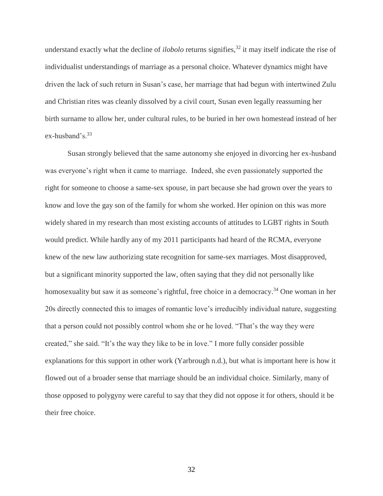understand exactly what the decline of *ilobolo* returns signifies,<sup>32</sup> it may itself indicate the rise of individualist understandings of marriage as a personal choice. Whatever dynamics might have driven the lack of such return in Susan's case, her marriage that had begun with intertwined Zulu and Christian rites was cleanly dissolved by a civil court, Susan even legally reassuming her birth surname to allow her, under cultural rules, to be buried in her own homestead instead of her ex-husband's.<sup>33</sup>

Susan strongly believed that the same autonomy she enjoyed in divorcing her ex-husband was everyone's right when it came to marriage. Indeed, she even passionately supported the right for someone to choose a same-sex spouse, in part because she had grown over the years to know and love the gay son of the family for whom she worked. Her opinion on this was more widely shared in my research than most existing accounts of attitudes to LGBT rights in South would predict. While hardly any of my 2011 participants had heard of the RCMA, everyone knew of the new law authorizing state recognition for same-sex marriages. Most disapproved, but a significant minority supported the law, often saying that they did not personally like homosexuality but saw it as someone's rightful, free choice in a democracy.<sup>34</sup> One woman in her 20s directly connected this to images of romantic love's irreducibly individual nature, suggesting that a person could not possibly control whom she or he loved. "That's the way they were created," she said. "It's the way they like to be in love." I more fully consider possible explanations for this support in other work (Yarbrough n.d.), but what is important here is how it flowed out of a broader sense that marriage should be an individual choice. Similarly, many of those opposed to polygyny were careful to say that they did not oppose it for others, should it be their free choice.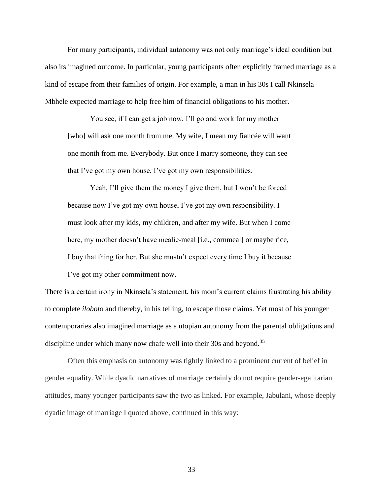For many participants, individual autonomy was not only marriage's ideal condition but also its imagined outcome. In particular, young participants often explicitly framed marriage as a kind of escape from their families of origin. For example, a man in his 30s I call Nkinsela Mbhele expected marriage to help free him of financial obligations to his mother.

You see, if I can get a job now, I'll go and work for my mother [who] will ask one month from me. My wife, I mean my fiancée will want one month from me. Everybody. But once I marry someone, they can see that I've got my own house, I've got my own responsibilities.

Yeah, I'll give them the money I give them, but I won't be forced because now I've got my own house, I've got my own responsibility. I must look after my kids, my children, and after my wife. But when I come here, my mother doesn't have mealie-meal [i.e., cornmeal] or maybe rice, I buy that thing for her. But she mustn't expect every time I buy it because I've got my other commitment now.

There is a certain irony in Nkinsela's statement, his mom's current claims frustrating his ability to complete *ilobolo* and thereby, in his telling, to escape those claims. Yet most of his younger contemporaries also imagined marriage as a utopian autonomy from the parental obligations and discipline under which many now chafe well into their 30s and beyond.<sup>35</sup>

Often this emphasis on autonomy was tightly linked to a prominent current of belief in gender equality. While dyadic narratives of marriage certainly do not require gender-egalitarian attitudes, many younger participants saw the two as linked. For example, Jabulani, whose deeply dyadic image of marriage I quoted above, continued in this way: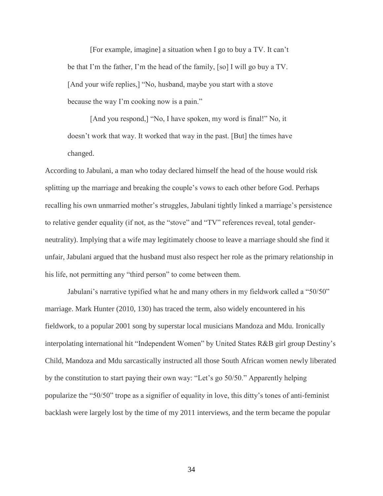[For example, imagine] a situation when I go to buy a TV. It can't be that I'm the father, I'm the head of the family, [so] I will go buy a TV. [And your wife replies,] "No, husband, maybe you start with a stove because the way I'm cooking now is a pain."

[And you respond,] "No, I have spoken, my word is final!" No, it doesn't work that way. It worked that way in the past. [But] the times have changed.

According to Jabulani, a man who today declared himself the head of the house would risk splitting up the marriage and breaking the couple's vows to each other before God. Perhaps recalling his own unmarried mother's struggles, Jabulani tightly linked a marriage's persistence to relative gender equality (if not, as the "stove" and "TV" references reveal, total genderneutrality). Implying that a wife may legitimately choose to leave a marriage should she find it unfair, Jabulani argued that the husband must also respect her role as the primary relationship in his life, not permitting any "third person" to come between them.

Jabulani's narrative typified what he and many others in my fieldwork called a "50/50" marriage. Mark Hunter (2010, 130) has traced the term, also widely encountered in his fieldwork, to a popular 2001 song by superstar local musicians Mandoza and Mdu. Ironically interpolating international hit "Independent Women" by United States R&B girl group Destiny's Child, Mandoza and Mdu sarcastically instructed all those South African women newly liberated by the constitution to start paying their own way: "Let's go 50/50." Apparently helping popularize the "50/50" trope as a signifier of equality in love, this ditty's tones of anti-feminist backlash were largely lost by the time of my 2011 interviews, and the term became the popular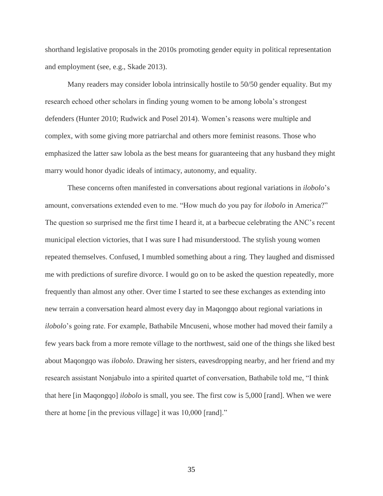shorthand legislative proposals in the 2010s promoting gender equity in political representation and employment (see, e.g., Skade 2013).

Many readers may consider lobola intrinsically hostile to 50/50 gender equality. But my research echoed other scholars in finding young women to be among lobola's strongest defenders (Hunter 2010; Rudwick and Posel 2014). Women's reasons were multiple and complex, with some giving more patriarchal and others more feminist reasons. Those who emphasized the latter saw lobola as the best means for guaranteeing that any husband they might marry would honor dyadic ideals of intimacy, autonomy, and equality.

These concerns often manifested in conversations about regional variations in *ilobolo*'s amount, conversations extended even to me. "How much do you pay for *ilobolo* in America?" The question so surprised me the first time I heard it, at a barbecue celebrating the ANC's recent municipal election victories, that I was sure I had misunderstood. The stylish young women repeated themselves. Confused, I mumbled something about a ring. They laughed and dismissed me with predictions of surefire divorce. I would go on to be asked the question repeatedly, more frequently than almost any other. Over time I started to see these exchanges as extending into new terrain a conversation heard almost every day in Maqongqo about regional variations in *ilobolo*'s going rate. For example, Bathabile Mncuseni, whose mother had moved their family a few years back from a more remote village to the northwest, said one of the things she liked best about Maqongqo was *ilobolo*. Drawing her sisters, eavesdropping nearby, and her friend and my research assistant Nonjabulo into a spirited quartet of conversation, Bathabile told me, "I think that here [in Maqongqo] *ilobolo* is small, you see. The first cow is 5,000 [rand]. When we were there at home [in the previous village] it was 10,000 [rand]."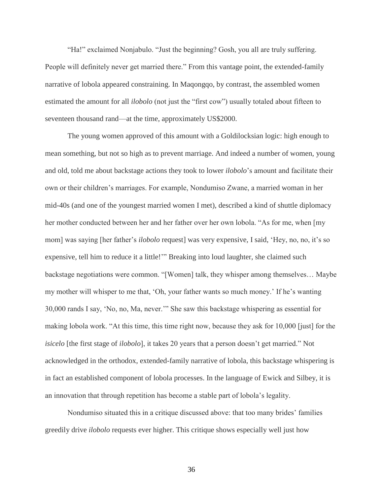"Ha!" exclaimed Nonjabulo. "Just the beginning? Gosh, you all are truly suffering. People will definitely never get married there." From this vantage point, the extended-family narrative of lobola appeared constraining. In Maqongqo, by contrast, the assembled women estimated the amount for all *ilobolo* (not just the "first cow") usually totaled about fifteen to seventeen thousand rand—at the time, approximately US\$2000.

The young women approved of this amount with a Goldilocksian logic: high enough to mean something, but not so high as to prevent marriage. And indeed a number of women, young and old, told me about backstage actions they took to lower *ilobolo*'s amount and facilitate their own or their children's marriages. For example, Nondumiso Zwane, a married woman in her mid-40s (and one of the youngest married women I met), described a kind of shuttle diplomacy her mother conducted between her and her father over her own lobola. "As for me, when [my mom] was saying [her father's *ilobolo* request] was very expensive, I said, 'Hey, no, no, it's so expensive, tell him to reduce it a little!'" Breaking into loud laughter, she claimed such backstage negotiations were common. "[Women] talk, they whisper among themselves… Maybe my mother will whisper to me that, 'Oh, your father wants so much money.' If he's wanting 30,000 rands I say, 'No, no, Ma, never.'" She saw this backstage whispering as essential for making lobola work. "At this time, this time right now, because they ask for 10,000 [just] for the *isicelo* [the first stage of *ilobolo*], it takes 20 years that a person doesn't get married." Not acknowledged in the orthodox, extended-family narrative of lobola, this backstage whispering is in fact an established component of lobola processes. In the language of Ewick and Silbey, it is an innovation that through repetition has become a stable part of lobola's legality.

Nondumiso situated this in a critique discussed above: that too many brides' families greedily drive *ilobolo* requests ever higher. This critique shows especially well just how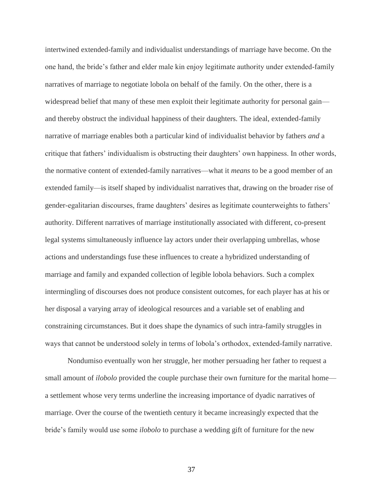intertwined extended-family and individualist understandings of marriage have become. On the one hand, the bride's father and elder male kin enjoy legitimate authority under extended-family narratives of marriage to negotiate lobola on behalf of the family. On the other, there is a widespread belief that many of these men exploit their legitimate authority for personal gain and thereby obstruct the individual happiness of their daughters. The ideal, extended-family narrative of marriage enables both a particular kind of individualist behavior by fathers *and* a critique that fathers' individualism is obstructing their daughters' own happiness. In other words, the normative content of extended-family narratives—what it *means* to be a good member of an extended family—is itself shaped by individualist narratives that, drawing on the broader rise of gender-egalitarian discourses, frame daughters' desires as legitimate counterweights to fathers' authority. Different narratives of marriage institutionally associated with different, co-present legal systems simultaneously influence lay actors under their overlapping umbrellas, whose actions and understandings fuse these influences to create a hybridized understanding of marriage and family and expanded collection of legible lobola behaviors. Such a complex intermingling of discourses does not produce consistent outcomes, for each player has at his or her disposal a varying array of ideological resources and a variable set of enabling and constraining circumstances. But it does shape the dynamics of such intra-family struggles in ways that cannot be understood solely in terms of lobola's orthodox, extended-family narrative.

Nondumiso eventually won her struggle, her mother persuading her father to request a small amount of *ilobolo* provided the couple purchase their own furniture for the marital home a settlement whose very terms underline the increasing importance of dyadic narratives of marriage. Over the course of the twentieth century it became increasingly expected that the bride's family would use some *ilobolo* to purchase a wedding gift of furniture for the new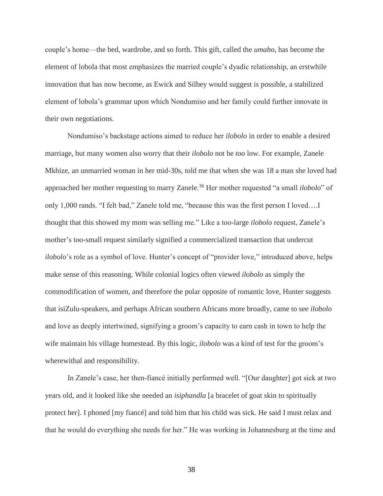couple's home—the bed, wardrobe, and so forth. This gift, called the *umabo*, has become the element of lobola that most emphasizes the married couple's dyadic relationship, an erstwhile innovation that has now become, as Ewick and Silbey would suggest is possible, a stabilized element of lobola's grammar upon which Nondumiso and her family could further innovate in their own negotiations.

Nondumiso's backstage actions aimed to reduce her *ilobolo* in order to enable a desired marriage, but many women also worry that their *ilobolo* not be *too* low. For example, Zanele Mkhize, an unmarried woman in her mid-30s, told me that when she was 18 a man she loved had approached her mother requesting to marry Zanele.<sup>36</sup> Her mother requested "a small *ilobolo*" of only 1,000 rands. "I felt bad," Zanele told me, "because this was the first person I loved….I thought that this showed my mom was selling me." Like a too-large *ilobolo* request, Zanele's mother's too-small request similarly signified a commercialized transaction that undercut *ilobolo*'s role as a symbol of love. Hunter's concept of "provider love," introduced above, helps make sense of this reasoning. While colonial logics often viewed *ilobolo* as simply the commodification of women, and therefore the polar opposite of romantic love, Hunter suggests that isiZulu-speakers, and perhaps African southern Africans more broadly, came to see *ilobolo* and love as deeply intertwined, signifying a groom's capacity to earn cash in town to help the wife maintain his village homestead. By this logic, *ilobolo* was a kind of test for the groom's wherewithal and responsibility.

In Zanele's case, her then-fiancé initially performed well. "[Our daughter] got sick at two years old, and it looked like she needed an *isiphandla* [a bracelet of goat skin to spiritually protect her]. I phoned [my fiancé] and told him that his child was sick. He said I must relax and that he would do everything she needs for her." He was working in Johannesburg at the time and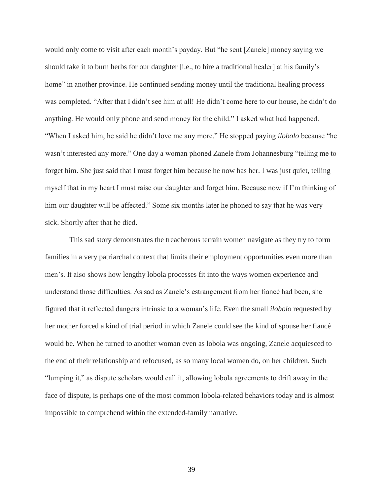would only come to visit after each month's payday. But "he sent [Zanele] money saying we should take it to burn herbs for our daughter [i.e., to hire a traditional healer] at his family's home" in another province. He continued sending money until the traditional healing process was completed. "After that I didn't see him at all! He didn't come here to our house, he didn't do anything. He would only phone and send money for the child." I asked what had happened. "When I asked him, he said he didn't love me any more." He stopped paying *ilobolo* because "he wasn't interested any more." One day a woman phoned Zanele from Johannesburg "telling me to forget him. She just said that I must forget him because he now has her. I was just quiet, telling myself that in my heart I must raise our daughter and forget him. Because now if I'm thinking of him our daughter will be affected." Some six months later he phoned to say that he was very sick. Shortly after that he died.

This sad story demonstrates the treacherous terrain women navigate as they try to form families in a very patriarchal context that limits their employment opportunities even more than men's. It also shows how lengthy lobola processes fit into the ways women experience and understand those difficulties. As sad as Zanele's estrangement from her fiancé had been, she figured that it reflected dangers intrinsic to a woman's life. Even the small *ilobolo* requested by her mother forced a kind of trial period in which Zanele could see the kind of spouse her fiancé would be. When he turned to another woman even as lobola was ongoing, Zanele acquiesced to the end of their relationship and refocused, as so many local women do, on her children. Such "lumping it," as dispute scholars would call it, allowing lobola agreements to drift away in the face of dispute, is perhaps one of the most common lobola-related behaviors today and is almost impossible to comprehend within the extended-family narrative.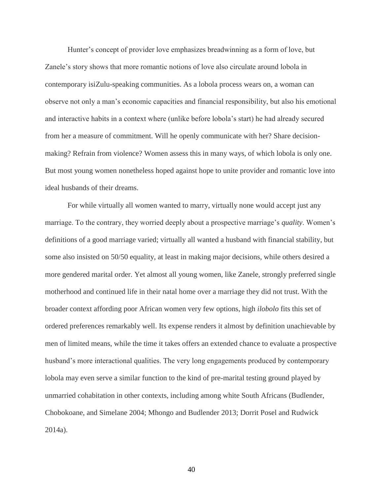Hunter's concept of provider love emphasizes breadwinning as a form of love, but Zanele's story shows that more romantic notions of love also circulate around lobola in contemporary isiZulu-speaking communities. As a lobola process wears on, a woman can observe not only a man's economic capacities and financial responsibility, but also his emotional and interactive habits in a context where (unlike before lobola's start) he had already secured from her a measure of commitment. Will he openly communicate with her? Share decisionmaking? Refrain from violence? Women assess this in many ways, of which lobola is only one. But most young women nonetheless hoped against hope to unite provider and romantic love into ideal husbands of their dreams.

For while virtually all women wanted to marry, virtually none would accept just any marriage. To the contrary, they worried deeply about a prospective marriage's *quality*. Women's definitions of a good marriage varied; virtually all wanted a husband with financial stability, but some also insisted on 50/50 equality, at least in making major decisions, while others desired a more gendered marital order. Yet almost all young women, like Zanele, strongly preferred single motherhood and continued life in their natal home over a marriage they did not trust. With the broader context affording poor African women very few options, high *ilobolo* fits this set of ordered preferences remarkably well. Its expense renders it almost by definition unachievable by men of limited means, while the time it takes offers an extended chance to evaluate a prospective husband's more interactional qualities. The very long engagements produced by contemporary lobola may even serve a similar function to the kind of pre-marital testing ground played by unmarried cohabitation in other contexts, including among white South Africans (Budlender, Chobokoane, and Simelane 2004; Mhongo and Budlender 2013; Dorrit Posel and Rudwick 2014a).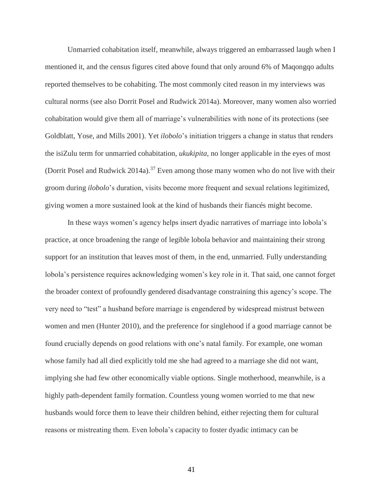Unmarried cohabitation itself, meanwhile, always triggered an embarrassed laugh when I mentioned it, and the census figures cited above found that only around 6% of Maqongqo adults reported themselves to be cohabiting. The most commonly cited reason in my interviews was cultural norms (see also Dorrit Posel and Rudwick 2014a). Moreover, many women also worried cohabitation would give them all of marriage's vulnerabilities with none of its protections (see Goldblatt, Yose, and Mills 2001). Yet *ilobolo*'s initiation triggers a change in status that renders the isiZulu term for unmarried cohabitation, *ukukipita*, no longer applicable in the eyes of most (Dorrit Posel and Rudwick 2014a).<sup>37</sup> Even among those many women who do not live with their groom during *ilobolo*'s duration, visits become more frequent and sexual relations legitimized, giving women a more sustained look at the kind of husbands their fiancés might become.

In these ways women's agency helps insert dyadic narratives of marriage into lobola's practice, at once broadening the range of legible lobola behavior and maintaining their strong support for an institution that leaves most of them, in the end, unmarried. Fully understanding lobola's persistence requires acknowledging women's key role in it. That said, one cannot forget the broader context of profoundly gendered disadvantage constraining this agency's scope. The very need to "test" a husband before marriage is engendered by widespread mistrust between women and men (Hunter 2010), and the preference for singlehood if a good marriage cannot be found crucially depends on good relations with one's natal family. For example, one woman whose family had all died explicitly told me she had agreed to a marriage she did not want, implying she had few other economically viable options. Single motherhood, meanwhile, is a highly path-dependent family formation. Countless young women worried to me that new husbands would force them to leave their children behind, either rejecting them for cultural reasons or mistreating them. Even lobola's capacity to foster dyadic intimacy can be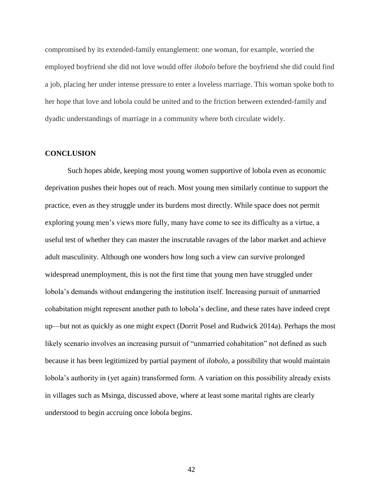compromised by its extended-family entanglement: one woman, for example, worried the employed boyfriend she did not love would offer *ilobolo* before the boyfriend she did could find a job, placing her under intense pressure to enter a loveless marriage. This woman spoke both to her hope that love and lobola could be united and to the friction between extended-family and dyadic understandings of marriage in a community where both circulate widely.

#### **CONCLUSION**

Such hopes abide, keeping most young women supportive of lobola even as economic deprivation pushes their hopes out of reach. Most young men similarly continue to support the practice, even as they struggle under its burdens most directly. While space does not permit exploring young men's views more fully, many have come to see its difficulty as a virtue, a useful test of whether they can master the inscrutable ravages of the labor market and achieve adult masculinity. Although one wonders how long such a view can survive prolonged widespread unemployment, this is not the first time that young men have struggled under lobola's demands without endangering the institution itself. Increasing pursuit of unmarried cohabitation might represent another path to lobola's decline, and these rates have indeed crept up—but not as quickly as one might expect (Dorrit Posel and Rudwick 2014a). Perhaps the most likely scenario involves an increasing pursuit of "unmarried cohabitation" not defined as such because it has been legitimized by partial payment of *ilobolo*, a possibility that would maintain lobola's authority in (yet again) transformed form. A variation on this possibility already exists in villages such as Msinga, discussed above, where at least some marital rights are clearly understood to begin accruing once lobola begins.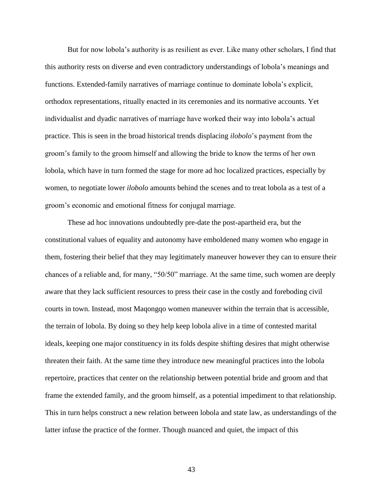But for now lobola's authority is as resilient as ever. Like many other scholars, I find that this authority rests on diverse and even contradictory understandings of lobola's meanings and functions. Extended-family narratives of marriage continue to dominate lobola's explicit, orthodox representations, ritually enacted in its ceremonies and its normative accounts. Yet individualist and dyadic narratives of marriage have worked their way into lobola's actual practice. This is seen in the broad historical trends displacing *ilobolo*'s payment from the groom's family to the groom himself and allowing the bride to know the terms of her own lobola, which have in turn formed the stage for more ad hoc localized practices, especially by women, to negotiate lower *ilobolo* amounts behind the scenes and to treat lobola as a test of a groom's economic and emotional fitness for conjugal marriage.

These ad hoc innovations undoubtedly pre-date the post-apartheid era, but the constitutional values of equality and autonomy have emboldened many women who engage in them, fostering their belief that they may legitimately maneuver however they can to ensure their chances of a reliable and, for many, "50/50" marriage. At the same time, such women are deeply aware that they lack sufficient resources to press their case in the costly and foreboding civil courts in town. Instead, most Maqongqo women maneuver within the terrain that is accessible, the terrain of lobola. By doing so they help keep lobola alive in a time of contested marital ideals, keeping one major constituency in its folds despite shifting desires that might otherwise threaten their faith. At the same time they introduce new meaningful practices into the lobola repertoire, practices that center on the relationship between potential bride and groom and that frame the extended family, and the groom himself, as a potential impediment to that relationship. This in turn helps construct a new relation between lobola and state law, as understandings of the latter infuse the practice of the former. Though nuanced and quiet, the impact of this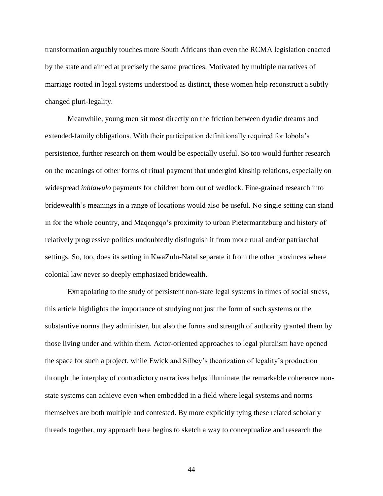transformation arguably touches more South Africans than even the RCMA legislation enacted by the state and aimed at precisely the same practices. Motivated by multiple narratives of marriage rooted in legal systems understood as distinct, these women help reconstruct a subtly changed pluri-legality.

Meanwhile, young men sit most directly on the friction between dyadic dreams and extended-family obligations. With their participation definitionally required for lobola's persistence, further research on them would be especially useful. So too would further research on the meanings of other forms of ritual payment that undergird kinship relations, especially on widespread *inhlawulo* payments for children born out of wedlock. Fine-grained research into bridewealth's meanings in a range of locations would also be useful. No single setting can stand in for the whole country, and Maqongqo's proximity to urban Pietermaritzburg and history of relatively progressive politics undoubtedly distinguish it from more rural and/or patriarchal settings. So, too, does its setting in KwaZulu-Natal separate it from the other provinces where colonial law never so deeply emphasized bridewealth.

Extrapolating to the study of persistent non-state legal systems in times of social stress, this article highlights the importance of studying not just the form of such systems or the substantive norms they administer, but also the forms and strength of authority granted them by those living under and within them. Actor-oriented approaches to legal pluralism have opened the space for such a project, while Ewick and Silbey's theorization of legality's production through the interplay of contradictory narratives helps illuminate the remarkable coherence nonstate systems can achieve even when embedded in a field where legal systems and norms themselves are both multiple and contested. By more explicitly tying these related scholarly threads together, my approach here begins to sketch a way to conceptualize and research the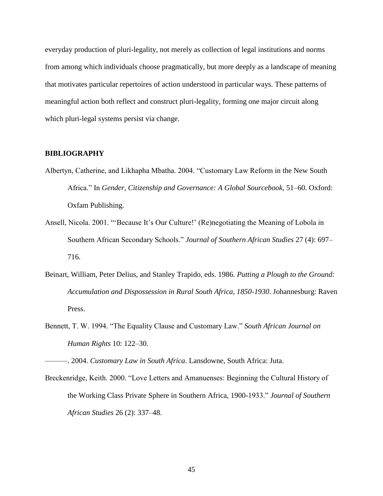everyday production of pluri-legality, not merely as collection of legal institutions and norms from among which individuals choose pragmatically, but more deeply as a landscape of meaning that motivates particular repertoires of action understood in particular ways. These patterns of meaningful action both reflect and construct pluri-legality, forming one major circuit along which pluri-legal systems persist via change.

#### **BIBLIOGRAPHY**

- Albertyn, Catherine, and Likhapha Mbatha. 2004. "Customary Law Reform in the New South Africa." In *Gender, Citizenship and Governance: A Global Sourcebook*, 51–60. Oxford: Oxfam Publishing.
- Ansell, Nicola. 2001. "'Because It's Our Culture!' (Re)negotiating the Meaning of Lobola in Southern African Secondary Schools." *Journal of Southern African Studies* 27 (4): 697– 716.
- Beinart, William, Peter Delius, and Stanley Trapido, eds. 1986. *Putting a Plough to the Ground: Accumulation and Dispossession in Rural South Africa, 1850-1930*. Johannesburg: Raven Press.
- Bennett, T. W. 1994. "The Equality Clause and Customary Law." *South African Journal on Human Rights* 10: 122–30.

———. 2004. *Customary Law in South Africa*. Lansdowne, South Africa: Juta.

Breckenridge, Keith. 2000. "Love Letters and Amanuenses: Beginning the Cultural History of the Working Class Private Sphere in Southern Africa, 1900-1933." *Journal of Southern African Studies* 26 (2): 337–48.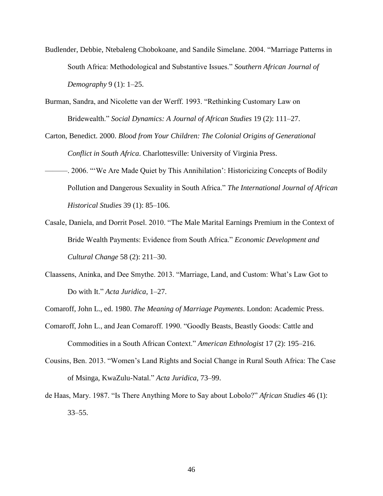- Budlender, Debbie, Ntebaleng Chobokoane, and Sandile Simelane. 2004. "Marriage Patterns in South Africa: Methodological and Substantive Issues." *Southern African Journal of Demography* 9 (1): 1–25.
- Burman, Sandra, and Nicolette van der Werff. 1993. "Rethinking Customary Law on Bridewealth." *Social Dynamics: A Journal of African Studies* 19 (2): 111–27.
- Carton, Benedict. 2000. *Blood from Your Children: The Colonial Origins of Generational Conflict in South Africa*. Charlottesville: University of Virginia Press.
- 2006. "We Are Made Quiet by This Annihilation': Historicizing Concepts of Bodily Pollution and Dangerous Sexuality in South Africa." *The International Journal of African Historical Studies* 39 (1): 85–106.
- Casale, Daniela, and Dorrit Posel. 2010. "The Male Marital Earnings Premium in the Context of Bride Wealth Payments: Evidence from South Africa." *Economic Development and Cultural Change* 58 (2): 211–30.
- Claassens, Aninka, and Dee Smythe. 2013. "Marriage, Land, and Custom: What's Law Got to Do with It." *Acta Juridica*, 1–27.

Comaroff, John L., ed. 1980. *The Meaning of Marriage Payments*. London: Academic Press.

- Comaroff, John L., and Jean Comaroff. 1990. "Goodly Beasts, Beastly Goods: Cattle and Commodities in a South African Context." *American Ethnologist* 17 (2): 195–216.
- Cousins, Ben. 2013. "Women's Land Rights and Social Change in Rural South Africa: The Case of Msinga, KwaZulu-Natal." *Acta Juridica*, 73–99.
- de Haas, Mary. 1987. "Is There Anything More to Say about Lobolo?" *African Studies* 46 (1): 33–55.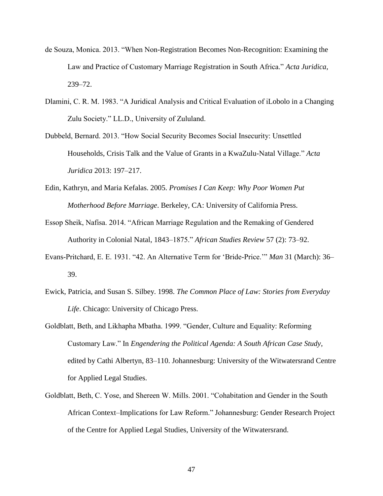- de Souza, Monica. 2013. "When Non-Registration Becomes Non-Recognition: Examining the Law and Practice of Customary Marriage Registration in South Africa." *Acta Juridica*, 239–72.
- Dlamini, C. R. M. 1983. "A Juridical Analysis and Critical Evaluation of iLobolo in a Changing Zulu Society." LL.D., University of Zululand.
- Dubbeld, Bernard. 2013. "How Social Security Becomes Social Insecurity: Unsettled Households, Crisis Talk and the Value of Grants in a KwaZulu-Natal Village." *Acta Juridica* 2013: 197–217.
- Edin, Kathryn, and Maria Kefalas. 2005. *Promises I Can Keep: Why Poor Women Put Motherhood Before Marriage*. Berkeley, CA: University of California Press.
- Essop Sheik, Nafisa. 2014. "African Marriage Regulation and the Remaking of Gendered Authority in Colonial Natal, 1843–1875." *African Studies Review* 57 (2): 73–92.
- Evans-Pritchard, E. E. 1931. "42. An Alternative Term for 'Bride-Price.'" *Man* 31 (March): 36– 39.
- Ewick, Patricia, and Susan S. Silbey. 1998. *The Common Place of Law: Stories from Everyday Life*. Chicago: University of Chicago Press.
- Goldblatt, Beth, and Likhapha Mbatha. 1999. "Gender, Culture and Equality: Reforming Customary Law." In *Engendering the Political Agenda: A South African Case Study*, edited by Cathi Albertyn, 83–110. Johannesburg: University of the Witwatersrand Centre for Applied Legal Studies.
- Goldblatt, Beth, C. Yose, and Shereen W. Mills. 2001. "Cohabitation and Gender in the South African Context–Implications for Law Reform." Johannesburg: Gender Research Project of the Centre for Applied Legal Studies, University of the Witwatersrand.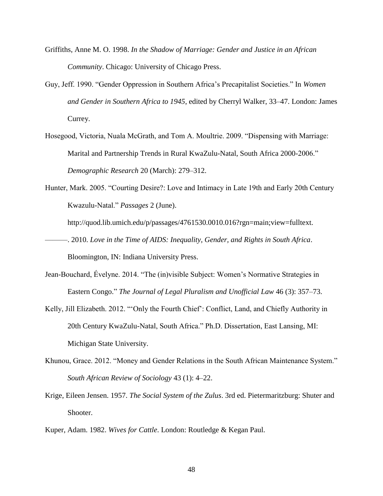- Griffiths, Anne M. O. 1998. *In the Shadow of Marriage: Gender and Justice in an African Community*. Chicago: University of Chicago Press.
- Guy, Jeff. 1990. "Gender Oppression in Southern Africa's Precapitalist Societies." In *Women and Gender in Southern Africa to 1945*, edited by Cherryl Walker, 33–47. London: James Currey.
- Hosegood, Victoria, Nuala McGrath, and Tom A. Moultrie. 2009. "Dispensing with Marriage: Marital and Partnership Trends in Rural KwaZulu-Natal, South Africa 2000-2006." *Demographic Research* 20 (March): 279–312.
- Hunter, Mark. 2005. "Courting Desire?: Love and Intimacy in Late 19th and Early 20th Century Kwazulu-Natal." *Passages* 2 (June).

http://quod.lib.umich.edu/p/passages/4761530.0010.016?rgn=main;view=fulltext.

- ———. 2010. *Love in the Time of AIDS: Inequality, Gender, and Rights in South Africa*. Bloomington, IN: Indiana University Press.
- Jean-Bouchard, Évelyne. 2014. "The (in)visible Subject: Women's Normative Strategies in Eastern Congo." *The Journal of Legal Pluralism and Unofficial Law* 46 (3): 357–73.
- Kelly, Jill Elizabeth. 2012. "'Only the Fourth Chief': Conflict, Land, and Chiefly Authority in 20th Century KwaZulu-Natal, South Africa." Ph.D. Dissertation, East Lansing, MI: Michigan State University.
- Khunou, Grace. 2012. "Money and Gender Relations in the South African Maintenance System." *South African Review of Sociology* 43 (1): 4–22.
- Krige, Eileen Jensen. 1957. *The Social System of the Zulus*. 3rd ed. Pietermaritzburg: Shuter and Shooter.
- Kuper, Adam. 1982. *Wives for Cattle*. London: Routledge & Kegan Paul.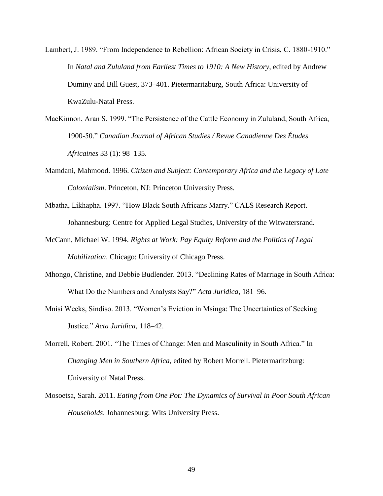- Lambert, J. 1989. "From Independence to Rebellion: African Society in Crisis, C. 1880-1910." In *Natal and Zululand from Earliest Times to 1910: A New History*, edited by Andrew Duminy and Bill Guest, 373–401. Pietermaritzburg, South Africa: University of KwaZulu-Natal Press.
- MacKinnon, Aran S. 1999. "The Persistence of the Cattle Economy in Zululand, South Africa, 1900-50." *Canadian Journal of African Studies / Revue Canadienne Des Études Africaines* 33 (1): 98–135.
- Mamdani, Mahmood. 1996. *Citizen and Subject: Contemporary Africa and the Legacy of Late Colonialism*. Princeton, NJ: Princeton University Press.
- Mbatha, Likhapha. 1997. "How Black South Africans Marry." CALS Research Report. Johannesburg: Centre for Applied Legal Studies, University of the Witwatersrand.
- McCann, Michael W. 1994. *Rights at Work: Pay Equity Reform and the Politics of Legal Mobilization*. Chicago: University of Chicago Press.
- Mhongo, Christine, and Debbie Budlender. 2013. "Declining Rates of Marriage in South Africa: What Do the Numbers and Analysts Say?" *Acta Juridica*, 181–96.
- Mnisi Weeks, Sindiso. 2013. "Women's Eviction in Msinga: The Uncertainties of Seeking Justice." *Acta Juridica*, 118–42.
- Morrell, Robert. 2001. "The Times of Change: Men and Masculinity in South Africa." In *Changing Men in Southern Africa*, edited by Robert Morrell. Pietermaritzburg: University of Natal Press.
- Mosoetsa, Sarah. 2011. *Eating from One Pot: The Dynamics of Survival in Poor South African Households*. Johannesburg: Wits University Press.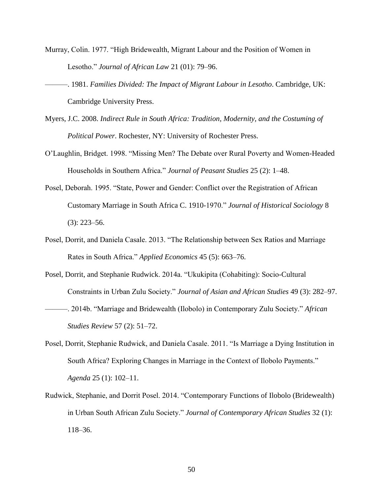- Murray, Colin. 1977. "High Bridewealth, Migrant Labour and the Position of Women in Lesotho." *Journal of African Law* 21 (01): 79–96.
- ———. 1981. *Families Divided: The Impact of Migrant Labour in Lesotho*. Cambridge, UK: Cambridge University Press.
- Myers, J.C. 2008. *Indirect Rule in South Africa: Tradition, Modernity, and the Costuming of Political Power*. Rochester, NY: University of Rochester Press.
- O'Laughlin, Bridget. 1998. "Missing Men? The Debate over Rural Poverty and Women-Headed Households in Southern Africa." *Journal of Peasant Studies* 25 (2): 1–48.
- Posel, Deborah. 1995. "State, Power and Gender: Conflict over the Registration of African Customary Marriage in South Africa C. 1910-1970." *Journal of Historical Sociology* 8 (3): 223–56.
- Posel, Dorrit, and Daniela Casale. 2013. "The Relationship between Sex Ratios and Marriage Rates in South Africa." *Applied Economics* 45 (5): 663–76.
- Posel, Dorrit, and Stephanie Rudwick. 2014a. "Ukukipita (Cohabiting): Socio-Cultural Constraints in Urban Zulu Society." *Journal of Asian and African Studies* 49 (3): 282–97.
- ———. 2014b. "Marriage and Bridewealth (Ilobolo) in Contemporary Zulu Society." *African Studies Review* 57 (2): 51–72.
- Posel, Dorrit, Stephanie Rudwick, and Daniela Casale. 2011. "Is Marriage a Dying Institution in South Africa? Exploring Changes in Marriage in the Context of Ilobolo Payments." *Agenda* 25 (1): 102–11.
- Rudwick, Stephanie, and Dorrit Posel. 2014. "Contemporary Functions of Ilobolo (Bridewealth) in Urban South African Zulu Society." *Journal of Contemporary African Studies* 32 (1): 118–36.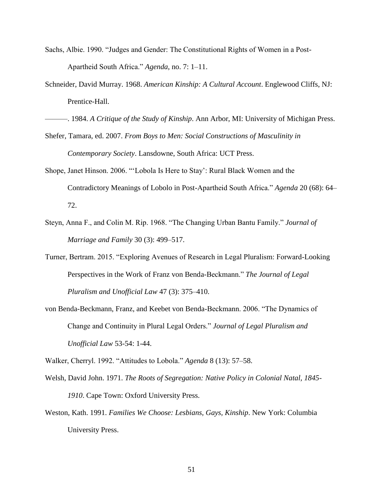- Sachs, Albie. 1990. "Judges and Gender: The Constitutional Rights of Women in a Post-Apartheid South Africa." *Agenda*, no. 7: 1–11.
- Schneider, David Murray. 1968. *American Kinship: A Cultural Account*. Englewood Cliffs, NJ: Prentice-Hall.

———. 1984. *A Critique of the Study of Kinship*. Ann Arbor, MI: University of Michigan Press.

- Shefer, Tamara, ed. 2007. *From Boys to Men: Social Constructions of Masculinity in Contemporary Society*. Lansdowne, South Africa: UCT Press.
- Shope, Janet Hinson. 2006. "'Lobola Is Here to Stay': Rural Black Women and the Contradictory Meanings of Lobolo in Post-Apartheid South Africa." *Agenda* 20 (68): 64– 72.
- Steyn, Anna F., and Colin M. Rip. 1968. "The Changing Urban Bantu Family." *Journal of Marriage and Family* 30 (3): 499–517.
- Turner, Bertram. 2015. "Exploring Avenues of Research in Legal Pluralism: Forward-Looking Perspectives in the Work of Franz von Benda-Beckmann." *The Journal of Legal Pluralism and Unofficial Law* 47 (3): 375–410.
- von Benda-Beckmann, Franz, and Keebet von Benda-Beckmann. 2006. "The Dynamics of Change and Continuity in Plural Legal Orders." *Journal of Legal Pluralism and Unofficial Law* 53-54: 1-44.

Walker, Cherryl. 1992. "Attitudes to Lobola." *Agenda* 8 (13): 57–58.

- Welsh, David John. 1971. *The Roots of Segregation: Native Policy in Colonial Natal, 1845- 1910*. Cape Town: Oxford University Press.
- Weston, Kath. 1991. *Families We Choose: Lesbians, Gays, Kinship*. New York: Columbia University Press.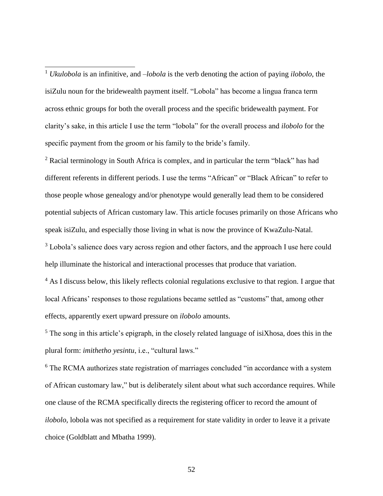<sup>1</sup> *Ukulobola* is an infinitive, and *–lobola* is the verb denoting the action of paying *ilobolo*, the isiZulu noun for the bridewealth payment itself. "Lobola" has become a lingua franca term across ethnic groups for both the overall process and the specific bridewealth payment. For clarity's sake, in this article I use the term "lobola" for the overall process and *ilobolo* for the specific payment from the groom or his family to the bride's family.

l

<sup>2</sup> Racial terminology in South Africa is complex, and in particular the term "black" has had different referents in different periods. I use the terms "African" or "Black African" to refer to those people whose genealogy and/or phenotype would generally lead them to be considered potential subjects of African customary law. This article focuses primarily on those Africans who speak isiZulu, and especially those living in what is now the province of KwaZulu-Natal. <sup>3</sup> Lobola's salience does vary across region and other factors, and the approach I use here could help illuminate the historical and interactional processes that produce that variation.

<sup>4</sup> As I discuss below, this likely reflects colonial regulations exclusive to that region. I argue that local Africans' responses to those regulations became settled as "customs" that, among other effects, apparently exert upward pressure on *ilobolo* amounts.

<sup>5</sup> The song in this article's epigraph, in the closely related language of isiXhosa, does this in the plural form: *imithetho yesintu*, i.e., "cultural laws."

<sup>6</sup> The RCMA authorizes state registration of marriages concluded "in accordance with a system of African customary law," but is deliberately silent about what such accordance requires. While one clause of the RCMA specifically directs the registering officer to record the amount of *ilobolo*, lobola was not specified as a requirement for state validity in order to leave it a private choice (Goldblatt and Mbatha 1999).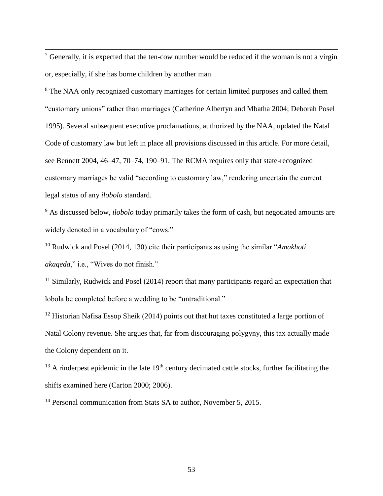<sup>7</sup> Generally, it is expected that the ten-cow number would be reduced if the woman is not a virgin or, especially, if she has borne children by another man.

 $\overline{a}$ 

<sup>8</sup> The NAA only recognized customary marriages for certain limited purposes and called them "customary unions" rather than marriages (Catherine Albertyn and Mbatha 2004; Deborah Posel 1995). Several subsequent executive proclamations, authorized by the NAA, updated the Natal Code of customary law but left in place all provisions discussed in this article. For more detail, see Bennett 2004, 46–47, 70–74, 190–91. The RCMA requires only that state-recognized customary marriages be valid "according to customary law," rendering uncertain the current legal status of any *ilobolo* standard.

<sup>9</sup> As discussed below, *ilobolo* today primarily takes the form of cash, but negotiated amounts are widely denoted in a vocabulary of "cows."

<sup>10</sup> Rudwick and Posel (2014, 130) cite their participants as using the similar "*Amakhoti akaqeda*," i.e., "Wives do not finish."

 $11$  Similarly, Rudwick and Posel (2014) report that many participants regard an expectation that lobola be completed before a wedding to be "untraditional."

<sup>12</sup> Historian Nafisa Essop Sheik (2014) points out that hut taxes constituted a large portion of Natal Colony revenue. She argues that, far from discouraging polygyny, this tax actually made the Colony dependent on it.

 $13$  A rinderpest epidemic in the late  $19<sup>th</sup>$  century decimated cattle stocks, further facilitating the shifts examined here (Carton 2000; 2006).

<sup>14</sup> Personal communication from Stats SA to author, November 5, 2015.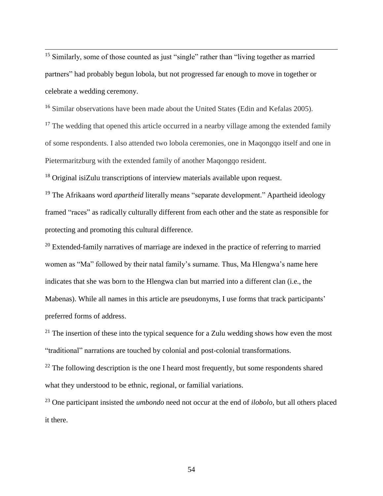$15$  Similarly, some of those counted as just "single" rather than "living together as married partners" had probably begun lobola, but not progressed far enough to move in together or celebrate a wedding ceremony.

 $\overline{a}$ 

<sup>16</sup> Similar observations have been made about the United States (Edin and Kefalas 2005).

 $17$  The wedding that opened this article occurred in a nearby village among the extended family of some respondents. I also attended two lobola ceremonies, one in Maqongqo itself and one in Pietermaritzburg with the extended family of another Maqongqo resident.

<sup>18</sup> Original isiZulu transcriptions of interview materials available upon request.

<sup>19</sup> The Afrikaans word *apartheid* literally means "separate development." Apartheid ideology framed "races" as radically culturally different from each other and the state as responsible for protecting and promoting this cultural difference.

<sup>20</sup> Extended-family narratives of marriage are indexed in the practice of referring to married women as "Ma" followed by their natal family's surname. Thus, Ma Hlengwa's name here indicates that she was born to the Hlengwa clan but married into a different clan (i.e., the Mabenas). While all names in this article are pseudonyms, I use forms that track participants' preferred forms of address.

 $21$  The insertion of these into the typical sequence for a Zulu wedding shows how even the most "traditional" narrations are touched by colonial and post-colonial transformations.

 $22$  The following description is the one I heard most frequently, but some respondents shared what they understood to be ethnic, regional, or familial variations.

<sup>23</sup> One participant insisted the *umbondo* need not occur at the end of *ilobolo*, but all others placed it there.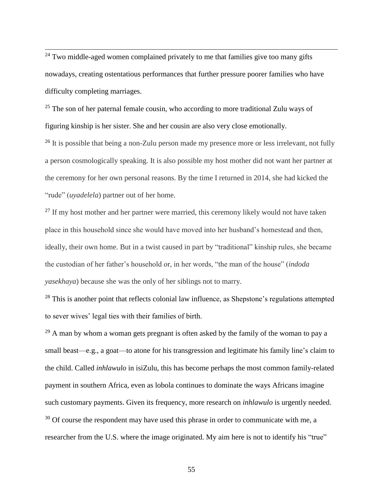$24$  Two middle-aged women complained privately to me that families give too many gifts nowadays, creating ostentatious performances that further pressure poorer families who have difficulty completing marriages.

 $\overline{a}$ 

 $25$  The son of her paternal female cousin, who according to more traditional Zulu ways of figuring kinship is her sister. She and her cousin are also very close emotionally.

 $26$  It is possible that being a non-Zulu person made my presence more or less irrelevant, not fully a person cosmologically speaking. It is also possible my host mother did not want her partner at the ceremony for her own personal reasons. By the time I returned in 2014, she had kicked the "rude" (*uyadelela*) partner out of her home.

 $27$  If my host mother and her partner were married, this ceremony likely would not have taken place in this household since she would have moved into her husband's homestead and then, ideally, their own home. But in a twist caused in part by "traditional" kinship rules, she became the custodian of her father's household or, in her words, "the man of the house" (*indoda yasekhaya*) because she was the only of her siblings not to marry.

<sup>28</sup> This is another point that reflects colonial law influence, as Shepstone's regulations attempted to sever wives' legal ties with their families of birth.

 $29$  A man by whom a woman gets pregnant is often asked by the family of the woman to pay a small beast—e.g., a goat—to atone for his transgression and legitimate his family line's claim to the child. Called *inhlawulo* in isiZulu, this has become perhaps the most common family-related payment in southern Africa, even as lobola continues to dominate the ways Africans imagine such customary payments. Given its frequency, more research on *inhlawulo* is urgently needed.  $30$  Of course the respondent may have used this phrase in order to communicate with me, a researcher from the U.S. where the image originated. My aim here is not to identify his "true"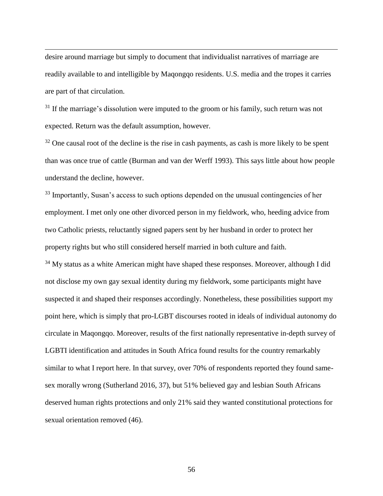desire around marriage but simply to document that individualist narratives of marriage are readily available to and intelligible by Maqongqo residents. U.S. media and the tropes it carries are part of that circulation.

 $\overline{a}$ 

 $31$  If the marriage's dissolution were imputed to the groom or his family, such return was not expected. Return was the default assumption, however.

 $32$  One causal root of the decline is the rise in cash payments, as cash is more likely to be spent than was once true of cattle (Burman and van der Werff 1993). This says little about how people understand the decline, however.

 $33$  Importantly, Susan's access to such options depended on the unusual contingencies of her employment. I met only one other divorced person in my fieldwork, who, heeding advice from two Catholic priests, reluctantly signed papers sent by her husband in order to protect her property rights but who still considered herself married in both culture and faith.

 $34$  My status as a white American might have shaped these responses. Moreover, although I did not disclose my own gay sexual identity during my fieldwork, some participants might have suspected it and shaped their responses accordingly. Nonetheless, these possibilities support my point here, which is simply that pro-LGBT discourses rooted in ideals of individual autonomy do circulate in Maqongqo. Moreover, results of the first nationally representative in-depth survey of LGBTI identification and attitudes in South Africa found results for the country remarkably similar to what I report here. In that survey, over 70% of respondents reported they found samesex morally wrong (Sutherland 2016, 37), but 51% believed gay and lesbian South Africans deserved human rights protections and only 21% said they wanted constitutional protections for sexual orientation removed (46).